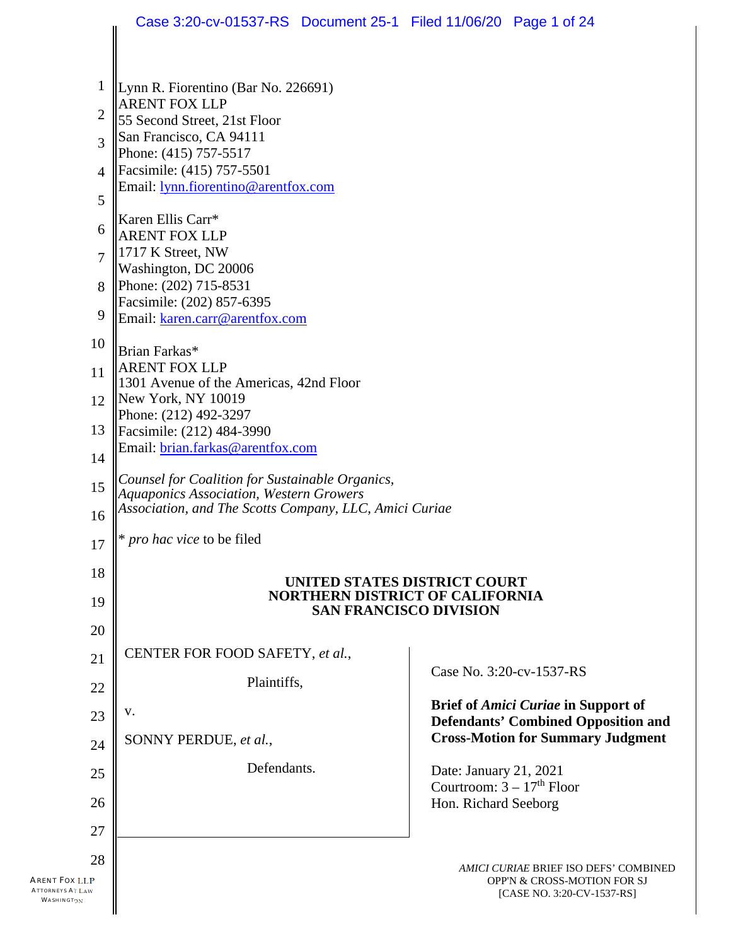|                                                              | Case 3:20-cv-01537-RS Document 25-1 Filed 11/06/20 Page 1 of 24                                          |                                                                                                    |
|--------------------------------------------------------------|----------------------------------------------------------------------------------------------------------|----------------------------------------------------------------------------------------------------|
|                                                              |                                                                                                          |                                                                                                    |
| 1                                                            | Lynn R. Fiorentino (Bar No. 226691)                                                                      |                                                                                                    |
| 2                                                            | <b>ARENT FOX LLP</b><br>55 Second Street, 21st Floor                                                     |                                                                                                    |
| 3                                                            | San Francisco, CA 94111                                                                                  |                                                                                                    |
| 4                                                            | Phone: (415) 757-5517<br>Facsimile: (415) 757-5501                                                       |                                                                                                    |
| 5                                                            | Email: lynn.fiorentino@arentfox.com                                                                      |                                                                                                    |
|                                                              | Karen Ellis Carr*                                                                                        |                                                                                                    |
| 6                                                            | <b>ARENT FOX LLP</b><br>1717 K Street, NW                                                                |                                                                                                    |
| $\overline{7}$                                               | Washington, DC 20006                                                                                     |                                                                                                    |
| 8                                                            | Phone: (202) 715-8531<br>Facsimile: (202) 857-6395                                                       |                                                                                                    |
| 9                                                            | Email: karen.carr@arentfox.com                                                                           |                                                                                                    |
| 10                                                           | Brian Farkas*                                                                                            |                                                                                                    |
| 11                                                           | <b>ARENT FOX LLP</b><br>1301 Avenue of the Americas, 42nd Floor                                          |                                                                                                    |
| 12                                                           | New York, NY 10019                                                                                       |                                                                                                    |
| 13                                                           | Phone: (212) 492-3297<br>Facsimile: (212) 484-3990                                                       |                                                                                                    |
| 14                                                           | Email: brian.farkas@arentfox.com                                                                         |                                                                                                    |
| 15                                                           | Counsel for Coalition for Sustainable Organics,                                                          |                                                                                                    |
| 16                                                           | <b>Aquaponics Association, Western Growers</b><br>Association, and The Scotts Company, LLC, Amici Curiae |                                                                                                    |
| $17\,$                                                       | $\mathbb{I}^*$ pro hac vice to be filed                                                                  |                                                                                                    |
| 18                                                           | UNITED STATES DISTRICT COURT                                                                             |                                                                                                    |
| 19                                                           | <b>NORTHERN DISTRICT OF CALIFORNIA</b>                                                                   |                                                                                                    |
| 20                                                           | <b>SAN FRANCISCO DIVISION</b>                                                                            |                                                                                                    |
| 21                                                           | CENTER FOR FOOD SAFETY, et al.,                                                                          |                                                                                                    |
| 22                                                           | Plaintiffs,                                                                                              | Case No. 3:20-cv-1537-RS                                                                           |
| 23                                                           | V.                                                                                                       | <b>Brief of Amici Curiae in Support of</b><br><b>Defendants' Combined Opposition and</b>           |
| 24                                                           | SONNY PERDUE, et al.,                                                                                    | <b>Cross-Motion for Summary Judgment</b>                                                           |
| 25                                                           | Defendants.                                                                                              | Date: January 21, 2021                                                                             |
| 26                                                           |                                                                                                          | Courtroom: $3 - 17th$ Floor                                                                        |
|                                                              |                                                                                                          | Hon. Richard Seeborg                                                                               |
| 27                                                           |                                                                                                          |                                                                                                    |
| 28<br>Arent Fox LLP<br><b>ATTORNEYS AT LAW</b><br>WASHINGTON |                                                                                                          | AMICI CURIAE BRIEF ISO DEFS' COMBINED<br>OPP'N & CROSS-MOTION FOR SJ<br>[CASE NO. 3:20-CV-1537-RS] |
|                                                              |                                                                                                          |                                                                                                    |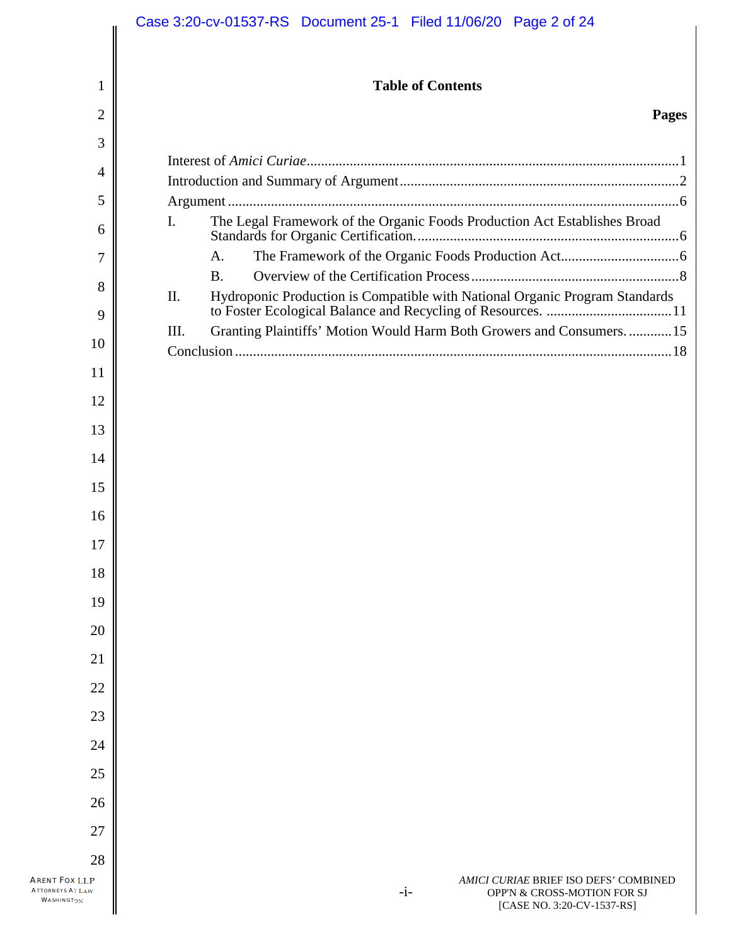| 1  | <b>Table of Contents</b>                                                                    |  |
|----|---------------------------------------------------------------------------------------------|--|
| 2  | <b>Pages</b>                                                                                |  |
| 3  |                                                                                             |  |
| 4  |                                                                                             |  |
| 5  |                                                                                             |  |
| 6  | The Legal Framework of the Organic Foods Production Act Establishes Broad<br>$\mathbf{I}$ . |  |
| 7  | A.                                                                                          |  |
| 8  | <b>B.</b>                                                                                   |  |
| 9  | II.                                                                                         |  |
| 10 | Granting Plaintiffs' Motion Would Harm Both Growers and Consumers.  15<br>III.              |  |
| 11 |                                                                                             |  |
| 12 |                                                                                             |  |
| 13 |                                                                                             |  |
| 14 |                                                                                             |  |
| 15 |                                                                                             |  |
|    |                                                                                             |  |
|    |                                                                                             |  |
|    |                                                                                             |  |
| 19 |                                                                                             |  |
| 20 |                                                                                             |  |
| 21 |                                                                                             |  |
| 22 |                                                                                             |  |
| 23 |                                                                                             |  |
| 24 |                                                                                             |  |
| 25 |                                                                                             |  |
| 26 |                                                                                             |  |
| 27 |                                                                                             |  |
|    |                                                                                             |  |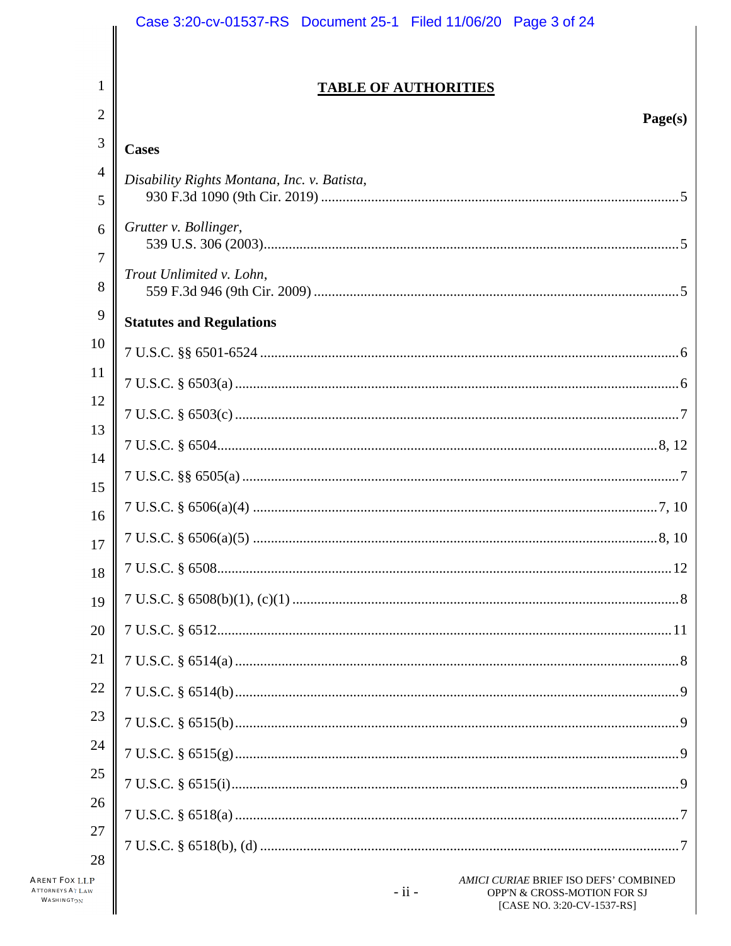|                     | Case 3:20-cv-01537-RS  Document 25-1  Filed 11/06/20  Page 3 of 24                                            |
|---------------------|---------------------------------------------------------------------------------------------------------------|
|                     |                                                                                                               |
| 1                   | <b>TABLE OF AUTHORITIES</b>                                                                                   |
| 2                   | Page(s)                                                                                                       |
| $\mathfrak{Z}$      | <b>Cases</b>                                                                                                  |
| $\overline{4}$<br>5 | Disability Rights Montana, Inc. v. Batista,                                                                   |
| 6                   | Grutter v. Bollinger,                                                                                         |
| 7<br>8              | Trout Unlimited v. Lohn,                                                                                      |
| 9                   | <b>Statutes and Regulations</b>                                                                               |
| 10                  |                                                                                                               |
| 11                  |                                                                                                               |
| 12                  |                                                                                                               |
| 13<br>14            |                                                                                                               |
| 15                  |                                                                                                               |
| 16                  |                                                                                                               |
| 17                  |                                                                                                               |
| 18                  |                                                                                                               |
| 19                  |                                                                                                               |
| 20                  |                                                                                                               |
| 21                  |                                                                                                               |
| 22                  |                                                                                                               |
| 23                  |                                                                                                               |
| 24                  |                                                                                                               |
| 25                  |                                                                                                               |
| 26<br>27            |                                                                                                               |
| 28                  |                                                                                                               |
| P                   | AMICI CURIAE BRIEF ISO DEFS' COMBINED<br>$-ii -$<br>OPP'N & CROSS-MOTION FOR SJ<br>[CASE NO. 3:20-CV-1537-RS] |

ARENT FOX LLI<br>Attorneys At Law WASHINGTON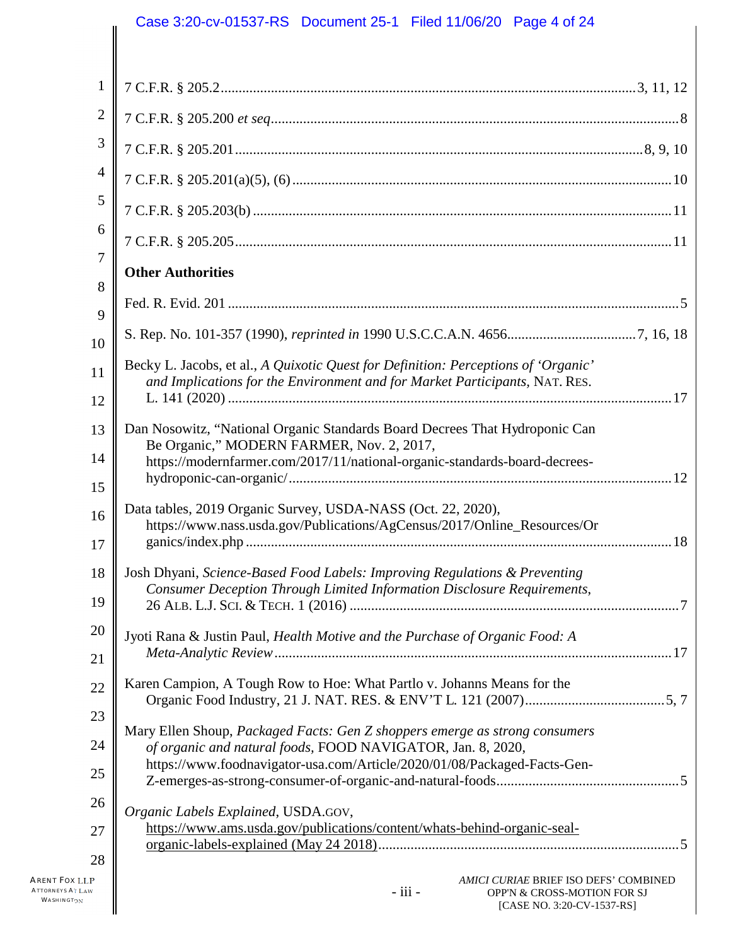# Case 3:20-cv-01537-RS Document 25-1 Filed 11/06/20 Page 4 of 24

| $\mathbf{1}$   |                                                                                                                                          |  |
|----------------|------------------------------------------------------------------------------------------------------------------------------------------|--|
| $\overline{2}$ |                                                                                                                                          |  |
| 3              |                                                                                                                                          |  |
| $\overline{4}$ |                                                                                                                                          |  |
| 5              |                                                                                                                                          |  |
| 6              |                                                                                                                                          |  |
| 7              | <b>Other Authorities</b>                                                                                                                 |  |
| 8              |                                                                                                                                          |  |
| 9<br>10        |                                                                                                                                          |  |
| 11             | Becky L. Jacobs, et al., A Quixotic Quest for Definition: Perceptions of 'Organic'                                                       |  |
| 12             | and Implications for the Environment and for Market Participants, NAT. RES.                                                              |  |
| 13             | Dan Nosowitz, "National Organic Standards Board Decrees That Hydroponic Can                                                              |  |
| 14             | Be Organic," MODERN FARMER, Nov. 2, 2017,<br>https://modernfarmer.com/2017/11/national-organic-standards-board-decrees-                  |  |
| 15             |                                                                                                                                          |  |
| 16             | Data tables, 2019 Organic Survey, USDA-NASS (Oct. 22, 2020),<br>https://www.nass.usda.gov/Publications/AgCensus/2017/Online_Resources/Or |  |
| 17             |                                                                                                                                          |  |
| 18             | Josh Dhyani, Science-Based Food Labels: Improving Regulations & Preventing                                                               |  |
| 19             | Consumer Deception Through Limited Information Disclosure Requirements,                                                                  |  |
| 20             | Jyoti Rana & Justin Paul, Health Motive and the Purchase of Organic Food: A                                                              |  |
| 21             |                                                                                                                                          |  |
| 22             | Karen Campion, A Tough Row to Hoe: What Partlo v. Johanns Means for the                                                                  |  |
| 23             | Mary Ellen Shoup, Packaged Facts: Gen Z shoppers emerge as strong consumers                                                              |  |
| 24             | of organic and natural foods, FOOD NAVIGATOR, Jan. 8, 2020,<br>https://www.foodnavigator-usa.com/Article/2020/01/08/Packaged-Facts-Gen-  |  |
| 25             |                                                                                                                                          |  |
| 26             | Organic Labels Explained, USDA.GOV,<br>https://www.ams.usda.gov/publications/content/whats-behind-organic-seal-                          |  |
| 27<br>28       |                                                                                                                                          |  |
| P<br>v         | AMICI CURIAE BRIEF ISO DEFS' COMBINED<br>- iii -<br>OPP'N & CROSS-MOTION FOR SJ<br>[CASE NO. 3:20-CV-1537-RS]                            |  |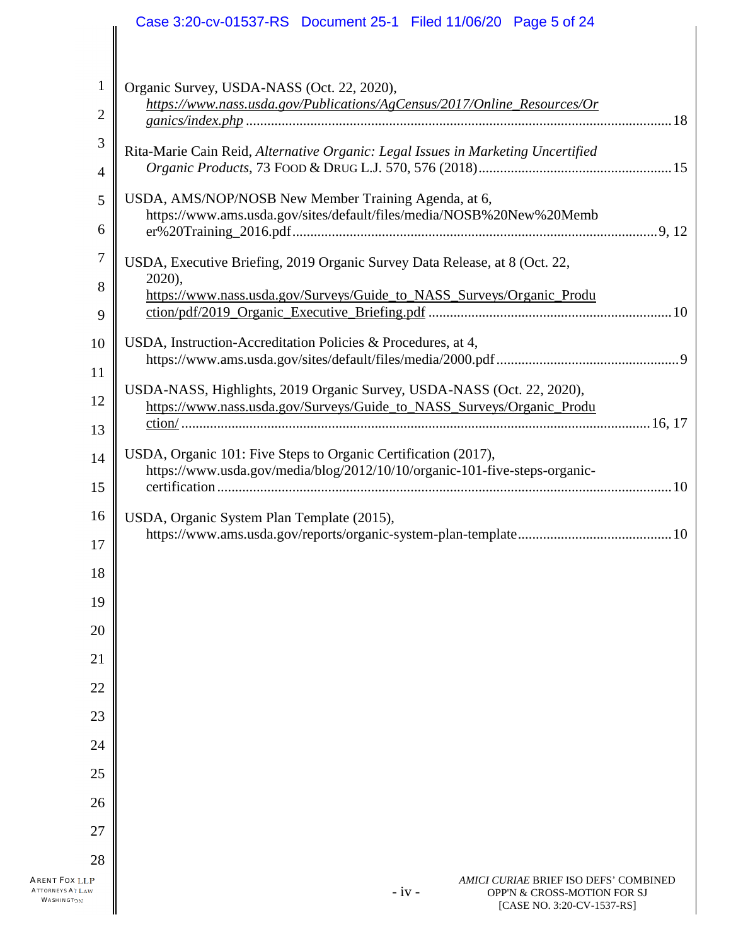|                                                        | Case 3:20-cv-01537-RS  Document 25-1  Filed 11/06/20  Page 5 of 24                                                                              |
|--------------------------------------------------------|-------------------------------------------------------------------------------------------------------------------------------------------------|
|                                                        |                                                                                                                                                 |
| 1                                                      | Organic Survey, USDA-NASS (Oct. 22, 2020),                                                                                                      |
| $\overline{2}$                                         | https://www.nass.usda.gov/Publications/AgCensus/2017/Online_Resources/Or                                                                        |
| $\mathfrak{Z}$                                         | Rita-Marie Cain Reid, Alternative Organic: Legal Issues in Marketing Uncertified                                                                |
| $\overline{4}$                                         |                                                                                                                                                 |
| 5                                                      | USDA, AMS/NOP/NOSB New Member Training Agenda, at 6,<br>https://www.ams.usda.gov/sites/default/files/media/NOSB%20New%20Memb                    |
| 6                                                      |                                                                                                                                                 |
| $\boldsymbol{7}$                                       | USDA, Executive Briefing, 2019 Organic Survey Data Release, at 8 (Oct. 22,<br>2020),                                                            |
| 8<br>9                                                 | https://www.nass.usda.gov/Surveys/Guide_to_NASS_Surveys/Organic_Produ                                                                           |
| 10                                                     | USDA, Instruction-Accreditation Policies & Procedures, at 4,                                                                                    |
| 11                                                     |                                                                                                                                                 |
| 12                                                     | USDA-NASS, Highlights, 2019 Organic Survey, USDA-NASS (Oct. 22, 2020),<br>https://www.nass.usda.gov/Surveys/Guide_to_NASS_Surveys/Organic_Produ |
| 13                                                     |                                                                                                                                                 |
| 14                                                     | USDA, Organic 101: Five Steps to Organic Certification (2017),                                                                                  |
| 15                                                     | https://www.usda.gov/media/blog/2012/10/10/organic-101-five-steps-organic-                                                                      |
| 16                                                     | USDA, Organic System Plan Template (2015),                                                                                                      |
| 17                                                     |                                                                                                                                                 |
| 18                                                     |                                                                                                                                                 |
| 19                                                     |                                                                                                                                                 |
| 20                                                     |                                                                                                                                                 |
| 21                                                     |                                                                                                                                                 |
| 22<br>23                                               |                                                                                                                                                 |
| 24                                                     |                                                                                                                                                 |
| 25                                                     |                                                                                                                                                 |
| 26                                                     |                                                                                                                                                 |
| 27                                                     |                                                                                                                                                 |
| 28                                                     |                                                                                                                                                 |
| Arent Fox LLP<br><b>ATTORNEYS AT LAW</b><br>WASHINGTON | AMICI CURIAE BRIEF ISO DEFS' COMBINED<br>$-iv -$<br>OPP'N & CROSS-MOTION FOR SJ<br>[CASE NO. 3:20-CV-1537-RS]                                   |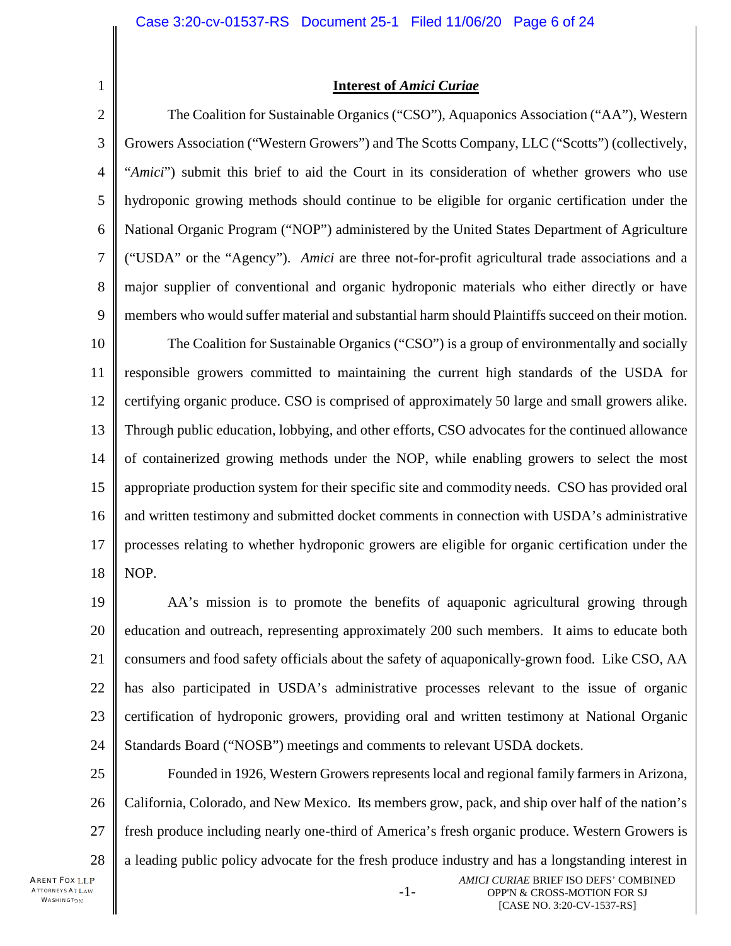**Interest of** *Amici Curiae*

2 3 4 5 6 7 8 9 10 11 12 13 14 15 16 17 18 The Coalition for Sustainable Organics ("CSO"), Aquaponics Association ("AA"), Western Growers Association ("Western Growers") and The Scotts Company, LLC ("Scotts") (collectively, "*Amici*") submit this brief to aid the Court in its consideration of whether growers who use hydroponic growing methods should continue to be eligible for organic certification under the National Organic Program ("NOP") administered by the United States Department of Agriculture ("USDA" or the "Agency"). *Amici* are three not-for-profit agricultural trade associations and a major supplier of conventional and organic hydroponic materials who either directly or have members who would suffer material and substantial harm should Plaintiffs succeed on their motion. The Coalition for Sustainable Organics ("CSO") is a group of environmentally and socially responsible growers committed to maintaining the current high standards of the USDA for certifying organic produce. CSO is comprised of approximately 50 large and small growers alike. Through public education, lobbying, and other efforts, CSO advocates for the continued allowance of containerized growing methods under the NOP, while enabling growers to select the most appropriate production system for their specific site and commodity needs. CSO has provided oral and written testimony and submitted docket comments in connection with USDA's administrative processes relating to whether hydroponic growers are eligible for organic certification under the NOP.

19 20 21 22 23 24 AA's mission is to promote the benefits of aquaponic agricultural growing through education and outreach, representing approximately 200 such members. It aims to educate both consumers and food safety officials about the safety of aquaponically-grown food. Like CSO, AA has also participated in USDA's administrative processes relevant to the issue of organic certification of hydroponic growers, providing oral and written testimony at National Organic Standards Board ("NOSB") meetings and comments to relevant USDA dockets.

25 26 27 28 Founded in 1926, Western Growers represents local and regional family farmers in Arizona, California, Colorado, and New Mexico. Its members grow, pack, and ship over half of the nation's fresh produce including nearly one-third of America's fresh organic produce. Western Growers is a leading public policy advocate for the fresh produce industry and has a longstanding interest in

-1-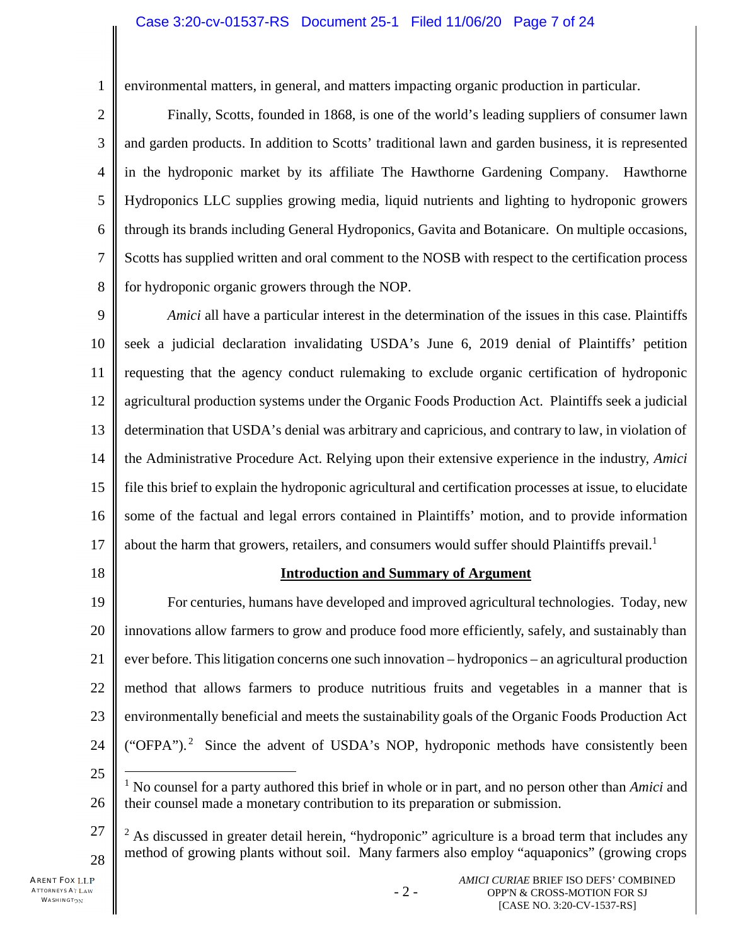1 2 environmental matters, in general, and matters impacting organic production in particular.

3 4 5 6 7 8 Finally, Scotts, founded in 1868, is one of the world's leading suppliers of consumer lawn and garden products. In addition to Scotts' traditional lawn and garden business, it is represented in the hydroponic market by its affiliate The Hawthorne Gardening Company. Hawthorne Hydroponics LLC supplies growing media, liquid nutrients and lighting to hydroponic growers through its brands including General Hydroponics, Gavita and Botanicare. On multiple occasions, Scotts has supplied written and oral comment to the NOSB with respect to the certification process for hydroponic organic growers through the NOP.

9 10 11 12 13 14 15 16 17 *Amici* all have a particular interest in the determination of the issues in this case. Plaintiffs seek a judicial declaration invalidating USDA's June 6, 2019 denial of Plaintiffs' petition requesting that the agency conduct rulemaking to exclude organic certification of hydroponic agricultural production systems under the Organic Foods Production Act. Plaintiffs seek a judicial determination that USDA's denial was arbitrary and capricious, and contrary to law, in violation of the Administrative Procedure Act. Relying upon their extensive experience in the industry, *Amici* file this brief to explain the hydroponic agricultural and certification processes at issue, to elucidate some of the factual and legal errors contained in Plaintiffs' motion, and to provide information about the harm that growers, retailers, and consumers would suffer should Plaintiffs prevail.<sup>1</sup>

18

### **Introduction and Summary of Argument**

19 20 21 22 23 24 For centuries, humans have developed and improved agricultural technologies. Today, new innovations allow farmers to grow and produce food more efficiently, safely, and sustainably than ever before. This litigation concerns one such innovation – hydroponics – an agricultural production method that allows farmers to produce nutritious fruits and vegetables in a manner that is environmentally beneficial and meets the sustainability goals of the Organic Foods Production Act ("OFPA").<sup>2</sup> Since the advent of USDA's NOP, hydroponic methods have consistently been

- 25
- 26 <sup>1</sup> No counsel for a party authored this brief in whole or in part, and no person other than *Amici* and their counsel made a monetary contribution to its preparation or submission.
- 27 28 <sup>2</sup> As discussed in greater detail herein, "hydroponic" agriculture is a broad term that includes any method of growing plants without soil. Many farmers also employ "aquaponics" (growing crops

- 2 -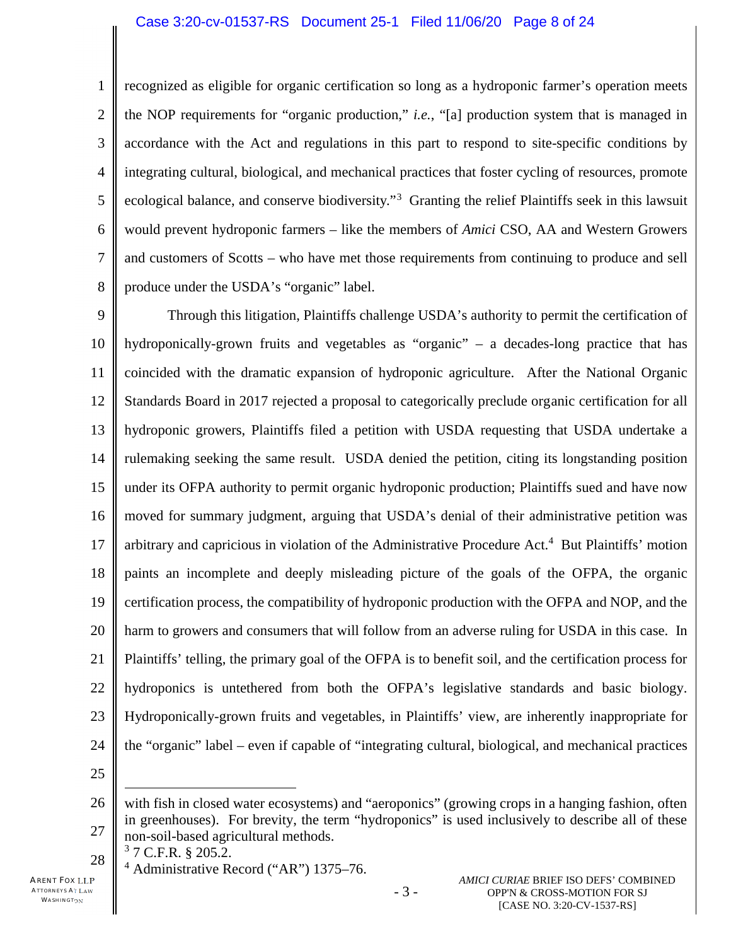1 2 3 4 5 6 7 8 recognized as eligible for organic certification so long as a hydroponic farmer's operation meets the NOP requirements for "organic production," *i.e.*, "[a] production system that is managed in accordance with the Act and regulations in this part to respond to site-specific conditions by integrating cultural, biological, and mechanical practices that foster cycling of resources, promote ecological balance, and conserve biodiversity."<sup>3</sup> Granting the relief Plaintiffs seek in this lawsuit would prevent hydroponic farmers – like the members of *Amici* CSO, AA and Western Growers and customers of Scotts – who have met those requirements from continuing to produce and sell produce under the USDA's "organic" label.

9 10 11 12 13 14 15 16 17 18 19 20 21 22 23 24 Through this litigation, Plaintiffs challenge USDA's authority to permit the certification of hydroponically-grown fruits and vegetables as "organic" – a decades-long practice that has coincided with the dramatic expansion of hydroponic agriculture. After the National Organic Standards Board in 2017 rejected a proposal to categorically preclude organic certification for all hydroponic growers, Plaintiffs filed a petition with USDA requesting that USDA undertake a rulemaking seeking the same result. USDA denied the petition, citing its longstanding position under its OFPA authority to permit organic hydroponic production; Plaintiffs sued and have now moved for summary judgment, arguing that USDA's denial of their administrative petition was arbitrary and capricious in violation of the Administrative Procedure Act.<sup>4</sup> But Plaintiffs' motion paints an incomplete and deeply misleading picture of the goals of the OFPA, the organic certification process, the compatibility of hydroponic production with the OFPA and NOP, and the harm to growers and consumers that will follow from an adverse ruling for USDA in this case. In Plaintiffs' telling, the primary goal of the OFPA is to benefit soil, and the certification process for hydroponics is untethered from both the OFPA's legislative standards and basic biology. Hydroponically-grown fruits and vegetables, in Plaintiffs' view, are inherently inappropriate for the "organic" label – even if capable of "integrating cultural, biological, and mechanical practices

25

28

3 7 C.F.R. § 205.2.

<sup>4</sup> Administrative Record ("AR") 1375–76.

<sup>26</sup> 27 with fish in closed water ecosystems) and "aeroponics" (growing crops in a hanging fashion, often in greenhouses). For brevity, the term "hydroponics" is used inclusively to describe all of these non-soil-based agricultural methods.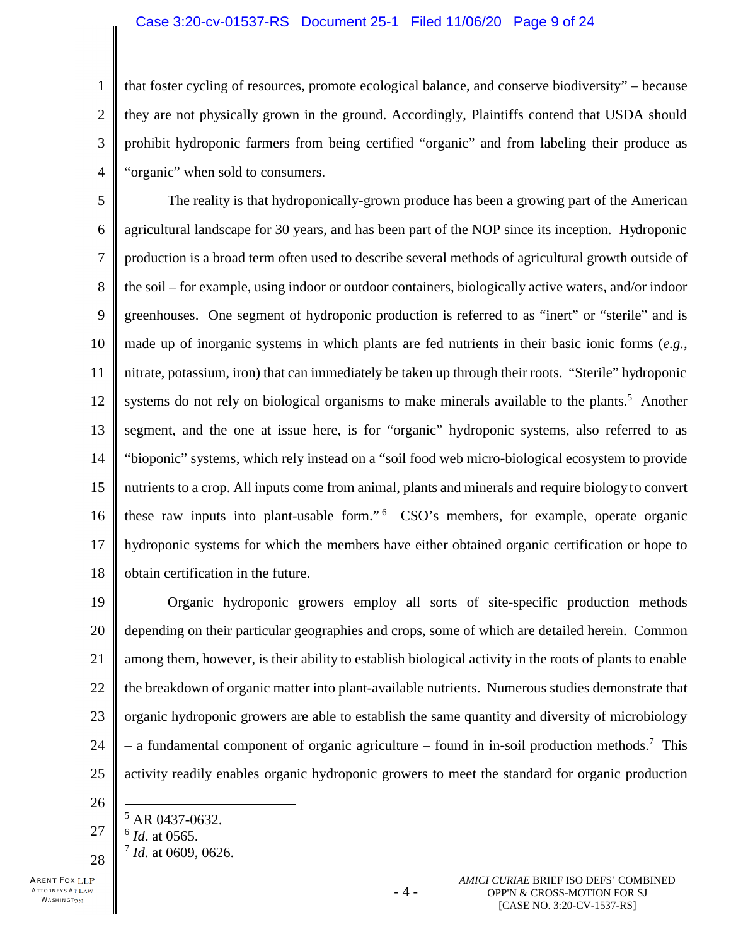#### Case 3:20-cv-01537-RS Document 25-1 Filed 11/06/20 Page 9 of 24

2 3 4 that foster cycling of resources, promote ecological balance, and conserve biodiversity" – because they are not physically grown in the ground. Accordingly, Plaintiffs contend that USDA should prohibit hydroponic farmers from being certified "organic" and from labeling their produce as "organic" when sold to consumers.

5 6 7 8 9 10 11 12 13 14 15 16 17 18 The reality is that hydroponically-grown produce has been a growing part of the American agricultural landscape for 30 years, and has been part of the NOP since its inception. Hydroponic production is a broad term often used to describe several methods of agricultural growth outside of the soil – for example, using indoor or outdoor containers, biologically active waters, and/or indoor greenhouses. One segment of hydroponic production is referred to as "inert" or "sterile" and is made up of inorganic systems in which plants are fed nutrients in their basic ionic forms (*e.g.*, nitrate, potassium, iron) that can immediately be taken up through their roots. "Sterile" hydroponic systems do not rely on biological organisms to make minerals available to the plants.<sup>5</sup> Another segment, and the one at issue here, is for "organic" hydroponic systems, also referred to as "bioponic" systems, which rely instead on a "soil food web micro-biological ecosystem to provide nutrients to a crop. All inputs come from animal, plants and minerals and require biologyto convert these raw inputs into plant-usable form."<sup>6</sup> CSO's members, for example, operate organic hydroponic systems for which the members have either obtained organic certification or hope to obtain certification in the future.

19 20 21 22 23 24 25 Organic hydroponic growers employ all sorts of site-specific production methods depending on their particular geographies and crops, some of which are detailed herein. Common among them, however, is their ability to establish biological activity in the roots of plants to enable the breakdown of organic matter into plant-available nutrients. Numerous studies demonstrate that organic hydroponic growers are able to establish the same quantity and diversity of microbiology – a fundamental component of organic agriculture – found in in-soil production methods.<sup>7</sup> This activity readily enables organic hydroponic growers to meet the standard for organic production

26

1

27 28  $5$  AR 0437-0632. 6 *Id*. at 0565. 7 *Id.* at 0609, 0626.

ARENT FOX LLP ATTORNEYS AT LAW WASHINGTON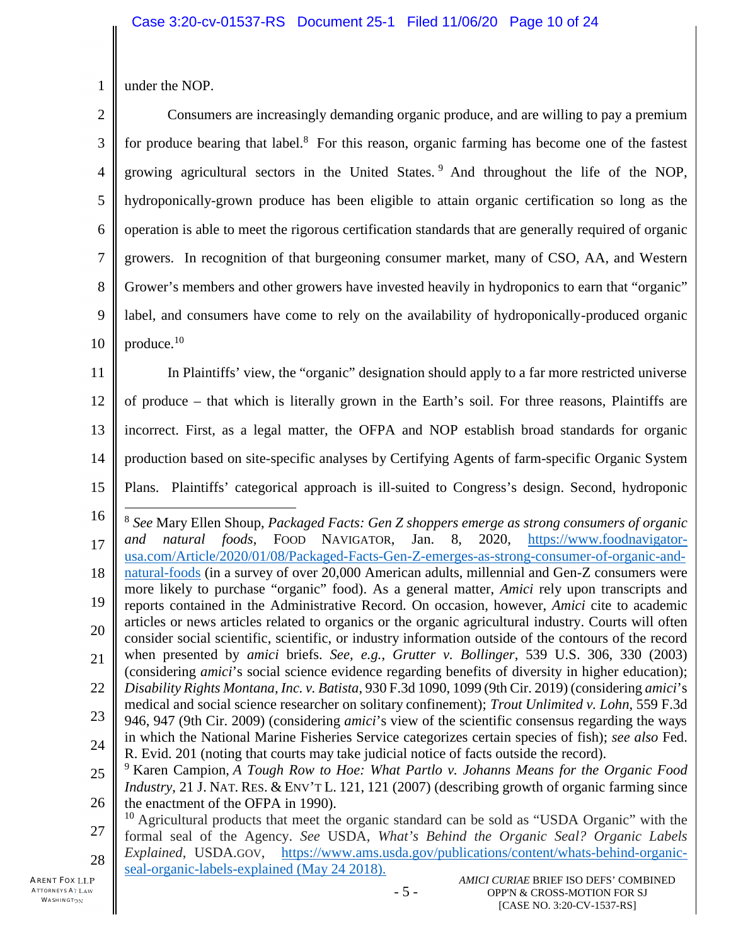1 under the NOP.

| $\overline{2}$ | Consumers are increasingly demanding organic produce, and are willing to pay a premium                                                                                                                             |
|----------------|--------------------------------------------------------------------------------------------------------------------------------------------------------------------------------------------------------------------|
| 3              | for produce bearing that label. <sup>8</sup> For this reason, organic farming has become one of the fastest                                                                                                        |
| 4              | growing agricultural sectors in the United States. <sup>9</sup> And throughout the life of the NOP,                                                                                                                |
| 5              | hydroponically-grown produce has been eligible to attain organic certification so long as the                                                                                                                      |
| 6              | operation is able to meet the rigorous certification standards that are generally required of organic                                                                                                              |
| 7              | growers. In recognition of that burgeoning consumer market, many of CSO, AA, and Western                                                                                                                           |
| 8              | Grower's members and other growers have invested heavily in hydroponics to earn that "organic"                                                                                                                     |
| 9              | label, and consumers have come to rely on the availability of hydroponically-produced organic                                                                                                                      |
| 10             | produce. <sup>10</sup>                                                                                                                                                                                             |
| 11             | In Plaintiffs' view, the "organic" designation should apply to a far more restricted universe                                                                                                                      |
| 12             | of produce – that which is literally grown in the Earth's soil. For three reasons, Plaintiffs are                                                                                                                  |
| 13             | incorrect. First, as a legal matter, the OFPA and NOP establish broad standards for organic                                                                                                                        |
| 14             | production based on site-specific analyses by Certifying Agents of farm-specific Organic System                                                                                                                    |
| 15             | Plans. Plaintiffs' categorical approach is ill-suited to Congress's design. Second, hydroponic                                                                                                                     |
|                |                                                                                                                                                                                                                    |
| 16             |                                                                                                                                                                                                                    |
| 17             | <sup>8</sup> See Mary Ellen Shoup, Packaged Facts: Gen Z shoppers emerge as strong consumers of organic<br>FOOD NAVIGATOR,<br>Jan.<br>2020, https://www.foodnavigator-<br>natural foods,<br>8,<br>and              |
| 18             | usa.com/Article/2020/01/08/Packaged-Facts-Gen-Z-emerges-as-strong-consumer-of-organic-and-<br>natural-foods (in a survey of over 20,000 American adults, millennial and Gen-Z consumers were                       |
| 19             | more likely to purchase "organic" food). As a general matter, Amici rely upon transcripts and<br>reports contained in the Administrative Record. On occasion, however, Amici cite to academic                      |
| 20             | articles or news articles related to organics or the organic agricultural industry. Courts will often                                                                                                              |
| 21             | consider social scientific, scientific, or industry information outside of the contours of the record<br>when presented by amici briefs. See, e.g., Grutter v. Bollinger, 539 U.S. 306, 330 (2003)                 |
| 22             | (considering <i>amici</i> 's social science evidence regarding benefits of diversity in higher education);<br>Disability Rights Montana, Inc. v. Batista, 930 F.3d 1090, 1099 (9th Cir. 2019) (considering amici's |
|                | medical and social science researcher on solitary confinement); Trout Unlimited v. Lohn, 559 F.3d                                                                                                                  |
| 23             | 946, 947 (9th Cir. 2009) (considering <i>amici</i> 's view of the scientific consensus regarding the ways<br>in which the National Marine Fisheries Service categorizes certain species of fish); see also Fed.    |
| 24             | R. Evid. 201 (noting that courts may take judicial notice of facts outside the record).<br><sup>9</sup> Karen Campion, A Tough Row to Hoe: What Partlo v. Johanns Means for the Organic Food                       |
| 25             | <i>Industry</i> , 21 J. NAT. RES. & ENV'T L. 121, 121 (2007) (describing growth of organic farming since                                                                                                           |
| 26             | the enactment of the OFPA in 1990).<br><sup>10</sup> Agricultural products that meet the organic standard can be sold as "USDA Organic" with the                                                                   |
| 27             | formal seal of the Agency. See USDA, What's Behind the Organic Seal? Organic Labels<br>Explained, USDA.GOV, https://www.ams.usda.gov/publications/content/whats-behind-organic-                                    |
| 28<br>P,       | seal-organic-labels-explained (May 24 2018).<br>AMICI CURIAE BRIEF ISO DEFS' COMBINED                                                                                                                              |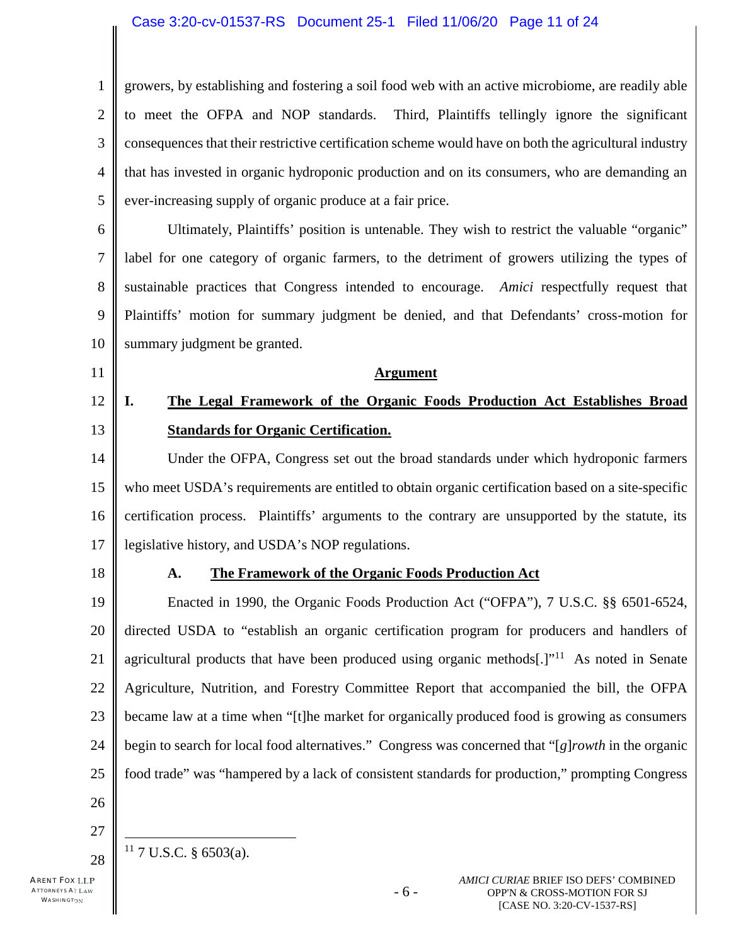#### Case 3:20-cv-01537-RS Document 25-1 Filed 11/06/20 Page 11 of 24

1 2 3 4 5 growers, by establishing and fostering a soil food web with an active microbiome, are readily able to meet the OFPA and NOP standards. Third, Plaintiffs tellingly ignore the significant consequences that their restrictive certification scheme would have on both the agricultural industry that has invested in organic hydroponic production and on its consumers, who are demanding an ever-increasing supply of organic produce at a fair price.

6 7 8 9 10 Ultimately, Plaintiffs' position is untenable. They wish to restrict the valuable "organic" label for one category of organic farmers, to the detriment of growers utilizing the types of sustainable practices that Congress intended to encourage. *Amici* respectfully request that Plaintiffs' motion for summary judgment be denied, and that Defendants' cross-motion for summary judgment be granted.

11 12

# **I. The Legal Framework of the Organic Foods Production Act Establishes Broad Standards for Organic Certification.**

**Argument**

14 15 16 17 Under the OFPA, Congress set out the broad standards under which hydroponic farmers who meet USDA's requirements are entitled to obtain organic certification based on a site-specific certification process. Plaintiffs' arguments to the contrary are unsupported by the statute, its legislative history, and USDA's NOP regulations.

18

13

### **A. The Framework of the Organic Foods Production Act**

19 20 21 22 23 24 25 Enacted in 1990, the Organic Foods Production Act ("OFPA"), 7 U.S.C. §§ 6501-6524, directed USDA to "establish an organic certification program for producers and handlers of agricultural products that have been produced using organic methods[.] $"^{11}$  As noted in Senate Agriculture, Nutrition, and Forestry Committee Report that accompanied the bill, the OFPA became law at a time when "[t]he market for organically produced food is growing as consumers begin to search for local food alternatives." Congress was concerned that "[*g*]*rowth* in the organic food trade" was "hampered by a lack of consistent standards for production," prompting Congress

- 26
- 27 28  $11$  7 U.S.C. § 6503(a).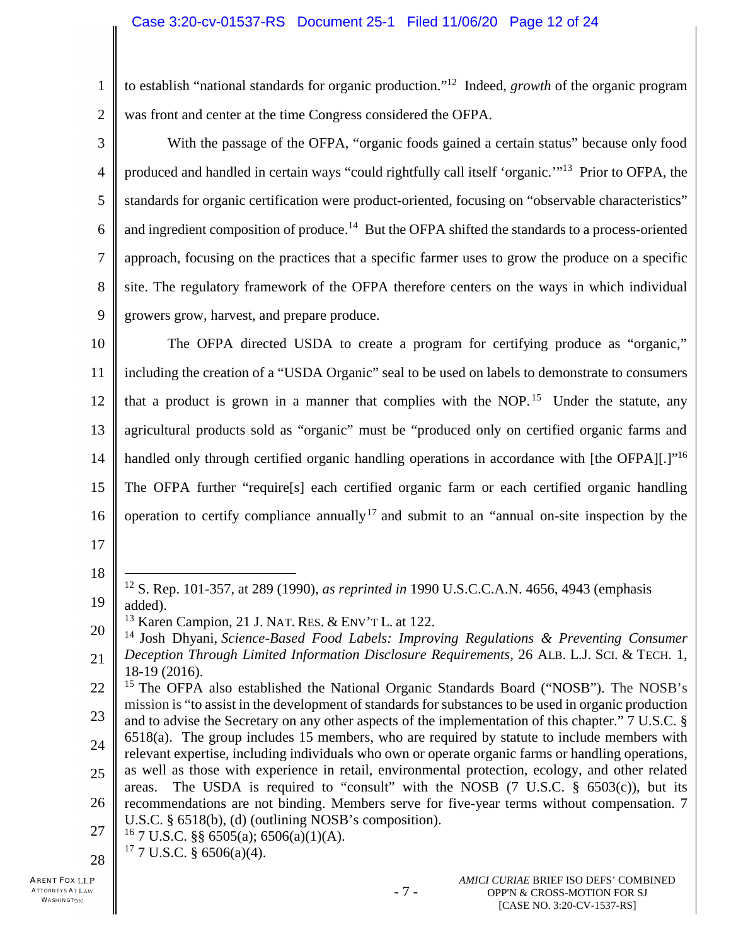1 2 to establish "national standards for organic production."<sup>12</sup> Indeed, *growth* of the organic program was front and center at the time Congress considered the OFPA.

3 4 5 6 7 8 9 With the passage of the OFPA, "organic foods gained a certain status" because only food produced and handled in certain ways "could rightfully call itself 'organic."<sup>13</sup> Prior to OFPA, the standards for organic certification were product-oriented, focusing on "observable characteristics" and ingredient composition of produce.<sup>14</sup> But the OFPA shifted the standards to a process-oriented approach, focusing on the practices that a specific farmer uses to grow the produce on a specific site. The regulatory framework of the OFPA therefore centers on the ways in which individual growers grow, harvest, and prepare produce.

10 11 12 13 14 15 16 The OFPA directed USDA to create a program for certifying produce as "organic," including the creation of a "USDA Organic" seal to be used on labels to demonstrate to consumers that a product is grown in a manner that complies with the NOP.<sup>15</sup> Under the statute, any agricultural products sold as "organic" must be "produced only on certified organic farms and handled only through certified organic handling operations in accordance with [the OFPA][.]"<sup>16</sup> The OFPA further "require[s] each certified organic farm or each certified organic handling operation to certify compliance annually  $17$  and submit to an "annual on-site inspection by the

17

18

19 <sup>12</sup> S. Rep. 101-357, at 289 (1990), *as reprinted in* 1990 U.S.C.C.A.N. 4656, 4943 (emphasis added).

27  $16$  7 U.S.C. §§ 6505(a); 6506(a)(1)(A).

<sup>&</sup>lt;sup>13</sup> Karen Campion, 21 J. NAT. RES. & ENV'T L. at 122.

<sup>20</sup> 21 <sup>14</sup> Josh Dhyani, *Science-Based Food Labels: Improving Regulations & Preventing Consumer Deception Through Limited Information Disclosure Requirements*, 26 ALB. L.J. SCI. & TECH. 1, 18-19 (2016).

<sup>22</sup> 23 24 <sup>15</sup> The OFPA also established the National Organic Standards Board ("NOSB"). The NOSB's mission is "to assist in the development of standards for substances to be used in organic production and to advise the Secretary on any other aspects of the implementation of this chapter." 7 U.S.C. § 6518(a). The group includes 15 members, who are required by statute to include members with relevant expertise, including individuals who own or operate organic farms or handling operations,

<sup>25</sup> 26 as well as those with experience in retail, environmental protection, ecology, and other related areas. The USDA is required to "consult" with the NOSB  $(7 \text{ U.S.C. } § 6503(c))$ , but its recommendations are not binding. Members serve for five-year terms without compensation. 7 U.S.C. § 6518(b), (d) (outlining NOSB's composition).

<sup>28</sup>  $17$  7 U.S.C. § 6506(a)(4).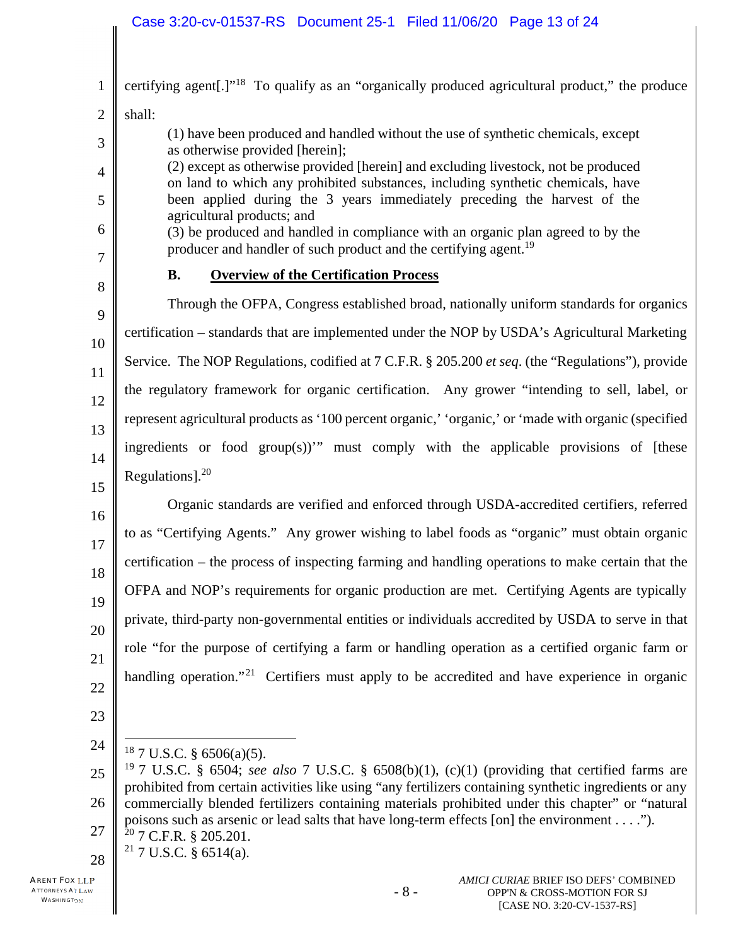## Case 3:20-cv-01537-RS Document 25-1 Filed 11/06/20 Page 13 of 24

| $\mathbf{1}$   | certifying agent[.]" <sup>18</sup> To qualify as an "organically produced agricultural product," the produce                                                                                                        |
|----------------|---------------------------------------------------------------------------------------------------------------------------------------------------------------------------------------------------------------------|
| $\overline{2}$ | shall:                                                                                                                                                                                                              |
| 3              | (1) have been produced and handled without the use of synthetic chemicals, except<br>as otherwise provided [herein];                                                                                                |
| $\overline{4}$ | (2) except as otherwise provided [herein] and excluding livestock, not be produced<br>on land to which any prohibited substances, including synthetic chemicals, have                                               |
| 5              | been applied during the 3 years immediately preceding the harvest of the<br>agricultural products; and                                                                                                              |
| 6<br>7         | (3) be produced and handled in compliance with an organic plan agreed to by the<br>producer and handler of such product and the certifying agent. <sup>19</sup>                                                     |
| 8              | <b>Overview of the Certification Process</b><br><b>B.</b>                                                                                                                                                           |
| 9              | Through the OFPA, Congress established broad, nationally uniform standards for organics                                                                                                                             |
| 10             | certification – standards that are implemented under the NOP by USDA's Agricultural Marketing                                                                                                                       |
| 11             | Service. The NOP Regulations, codified at 7 C.F.R. § 205.200 et seq. (the "Regulations"), provide                                                                                                                   |
| 12             | the regulatory framework for organic certification. Any grower "intending to sell, label, or                                                                                                                        |
| 13             | represent agricultural products as '100 percent organic,' 'organic,' or 'made with organic (specified                                                                                                               |
| 14             | ingredients or food group(s))" must comply with the applicable provisions of [these                                                                                                                                 |
| 15             | Regulations]. $^{20}$                                                                                                                                                                                               |
| 16             | Organic standards are verified and enforced through USDA-accredited certifiers, referred                                                                                                                            |
| 17             | to as "Certifying Agents." Any grower wishing to label foods as "organic" must obtain organic                                                                                                                       |
| 18             | certification – the process of inspecting farming and handling operations to make certain that the                                                                                                                  |
| 19             | OFPA and NOP's requirements for organic production are met. Certifying Agents are typically                                                                                                                         |
| 20             | private, third-party non-governmental entities or individuals accredited by USDA to serve in that                                                                                                                   |
| 21             | role "for the purpose of certifying a farm or handling operation as a certified organic farm or                                                                                                                     |
| 22             | handling operation." <sup>21</sup> Certifiers must apply to be accredited and have experience in organic                                                                                                            |
| 23             |                                                                                                                                                                                                                     |
| 24             | $18$ 7 U.S.C. § 6506(a)(5).                                                                                                                                                                                         |
| 25             | <sup>19</sup> 7 U.S.C. § 6504; see also 7 U.S.C. § 6508(b)(1), (c)(1) (providing that certified farms are<br>prohibited from certain activities like using "any fertilizers containing synthetic ingredients or any |
| 26             | commercially blended fertilizers containing materials prohibited under this chapter" or "natural                                                                                                                    |
| 27             | poisons such as arsenic or lead salts that have long-term effects [on] the environment").<br>$20$ 7 C.F.R. § 205.201.                                                                                               |
| $\overline{0}$ | <sup>21</sup> 7 U.S.C. § 6514(a).                                                                                                                                                                                   |

28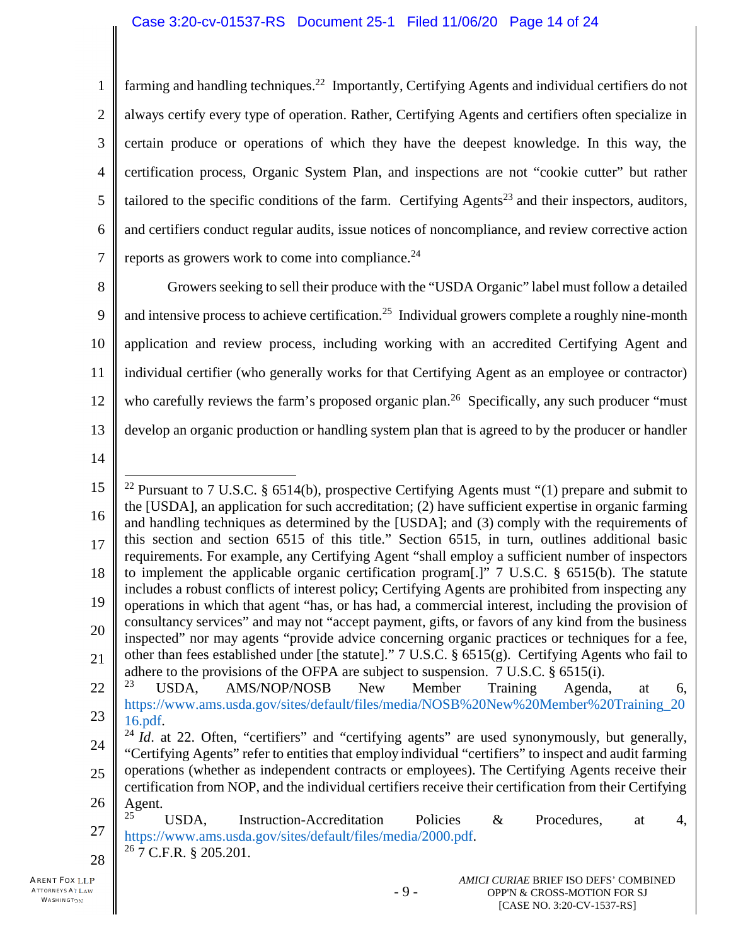1 2 3 4 5 6 7 farming and handling techniques.<sup>22</sup> Importantly, Certifying Agents and individual certifiers do not always certify every type of operation. Rather, Certifying Agents and certifiers often specialize in certain produce or operations of which they have the deepest knowledge. In this way, the certification process, Organic System Plan, and inspections are not "cookie cutter" but rather tailored to the specific conditions of the farm. Certifying  $A$ gents<sup>23</sup> and their inspectors, auditors, and certifiers conduct regular audits, issue notices of noncompliance, and review corrective action reports as growers work to come into compliance. $24$ 

8 9 10 11 12 13 Growers seeking to sell their produce with the "USDA Organic" label must follow a detailed and intensive process to achieve certification.<sup>25</sup> Individual growers complete a roughly nine-month application and review process, including working with an accredited Certifying Agent and individual certifier (who generally works for that Certifying Agent as an employee or contractor) who carefully reviews the farm's proposed organic plan.<sup>26</sup> Specifically, any such producer "must" develop an organic production or handling system plan that is agreed to by the producer or handler

<sup>15</sup> 16 17 18 19 20 21 22 23 24 25 26 <sup>22</sup> Pursuant to 7 U.S.C. § 6514(b), prospective Certifying Agents must "(1) prepare and submit to the [USDA], an application for such accreditation; (2) have sufficient expertise in organic farming and handling techniques as determined by the [USDA]; and (3) comply with the requirements of this section and section 6515 of this title." Section 6515, in turn, outlines additional basic requirements. For example, any Certifying Agent "shall employ a sufficient number of inspectors to implement the applicable organic certification program[.]" 7 U.S.C. § 6515(b). The statute includes a robust conflicts of interest policy; Certifying Agents are prohibited from inspecting any operations in which that agent "has, or has had, a commercial interest, including the provision of consultancy services" and may not "accept payment, gifts, or favors of any kind from the business inspected" nor may agents "provide advice concerning organic practices or techniques for a fee, other than fees established under [the statute]." 7 U.S.C. § 6515(g). Certifying Agents who fail to adhere to the provisions of the OFPA are subject to suspension. 7 U.S.C. § 6515(i). <sup>23</sup> USDA, AMS/NOP/NOSB New Member Training Agenda, at 6, https://www.ams.usda.gov/sites/default/files/media/NOSB%20New%20Member%20Training\_20 16.pdf.  $^{24}$  *Id.* at 22. Often, "certifiers" and "certifying agents" are used synonymously, but generally, "Certifying Agents" refer to entities that employ individual "certifiers" to inspect and audit farming operations (whether as independent contracts or employees). The Certifying Agents receive their certification from NOP, and the individual certifiers receive their certification from their Certifying Agent.

<sup>27</sup> 28 <sup>25</sup> USDA, Instruction-Accreditation Policies & Procedures, at 4, https://www.ams.usda.gov/sites/default/files/media/2000.pdf. <sup>26</sup> 7 C.F.R. § 205.201.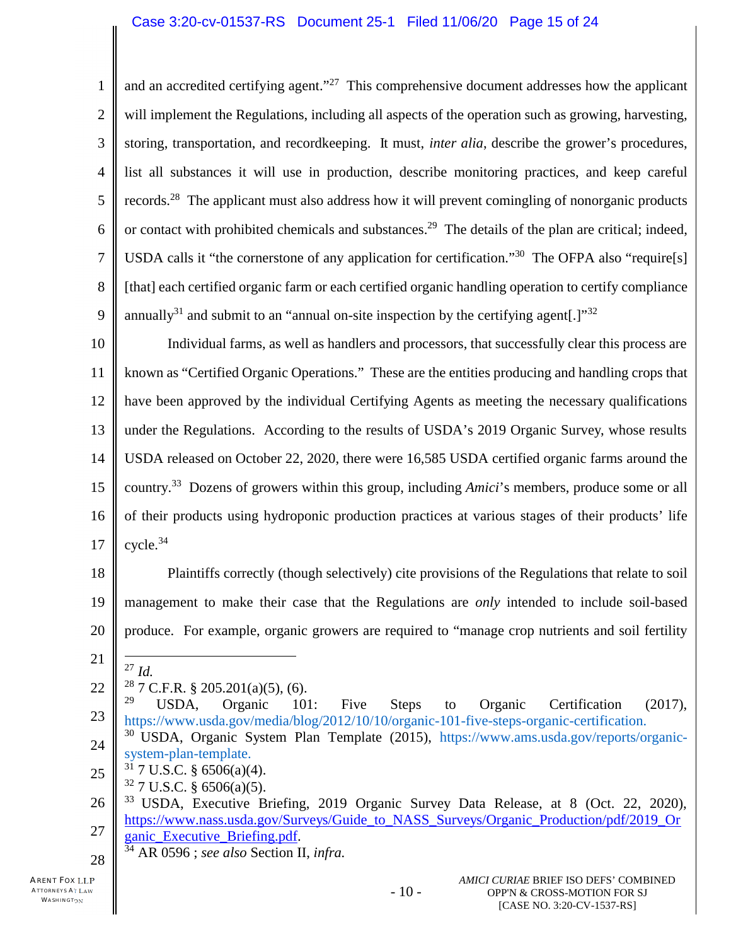1 2 3 4 5 6 7 8 9 and an accredited certifying agent."<sup>27</sup> This comprehensive document addresses how the applicant will implement the Regulations, including all aspects of the operation such as growing, harvesting, storing, transportation, and recordkeeping. It must, *inter alia*, describe the grower's procedures, list all substances it will use in production, describe monitoring practices, and keep careful records.<sup>28</sup> The applicant must also address how it will prevent comingling of nonorganic products or contact with prohibited chemicals and substances.<sup>29</sup> The details of the plan are critical; indeed, USDA calls it "the cornerstone of any application for certification."<sup>30</sup> The OFPA also "require[s] [that] each certified organic farm or each certified organic handling operation to certify compliance annually<sup>31</sup> and submit to an "annual on-site inspection by the certifying agent.]<sup>"32</sup>

10 11 12 13 14 15 16 17 Individual farms, as well as handlers and processors, that successfully clear this process are known as "Certified Organic Operations." These are the entities producing and handling crops that have been approved by the individual Certifying Agents as meeting the necessary qualifications under the Regulations. According to the results of USDA's 2019 Organic Survey, whose results USDA released on October 22, 2020, there were 16,585 USDA certified organic farms around the country. <sup>33</sup> Dozens of growers within this group, including *Amici*'s members, produce some or all of their products using hydroponic production practices at various stages of their products' life  $cycle.<sup>34</sup>$ 

18 19 20 Plaintiffs correctly (though selectively) cite provisions of the Regulations that relate to soil management to make their case that the Regulations are *only* intended to include soil-based produce. For example, organic growers are required to "manage crop nutrients and soil fertility

21

22

- 23 <sup>29</sup> USDA, Organic 101: Five Steps to Organic Certification (2017), https://www.usda.gov/media/blog/2012/10/10/organic-101-five-steps-organic-certification. <sup>30</sup> USDA, Organic System Plan Template (2015), https://www.ams.usda.gov/reports/organic-
- 24 system-plan-template.
- 25  $31$  7 U.S.C. § 6506(a)(4).
	- $32$  7 U.S.C. § 6506(a)(5).
- 26 27 <sup>33</sup> USDA, Executive Briefing, 2019 Organic Survey Data Release, at 8 (Oct. 22, 2020), https://www.nass.usda.gov/Surveys/Guide\_to\_NASS\_Surveys/Organic\_Production/pdf/2019\_Or ganic\_Executive\_Briefing.pdf.
	- <sup>34</sup> AR 0596 ; *see also* Section II, *infra.*

<sup>27</sup> *Id.* <sup>28</sup> 7 C.F.R. § 205.201(a)(5), (6).<br><sup>29</sup> USDA Organic 10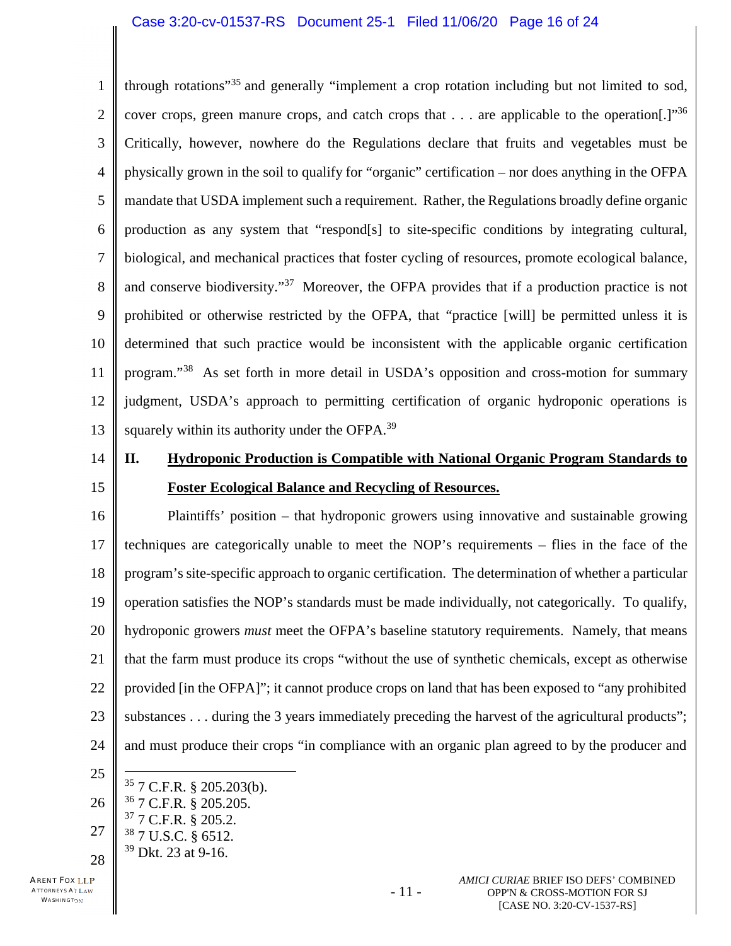#### Case 3:20-cv-01537-RS Document 25-1 Filed 11/06/20 Page 16 of 24

1 2 3 4 5 6 7 8 9 10 11 12 13 through rotations"<sup>35</sup> and generally "implement a crop rotation including but not limited to sod, cover crops, green manure crops, and catch crops that  $\dots$  are applicable to the operation.]<sup>"36</sup> Critically, however, nowhere do the Regulations declare that fruits and vegetables must be physically grown in the soil to qualify for "organic" certification – nor does anything in the OFPA mandate that USDA implement such a requirement. Rather, the Regulations broadly define organic production as any system that "respond[s] to site-specific conditions by integrating cultural, biological, and mechanical practices that foster cycling of resources, promote ecological balance, and conserve biodiversity."<sup>37</sup> Moreover, the OFPA provides that if a production practice is not prohibited or otherwise restricted by the OFPA, that "practice [will] be permitted unless it is determined that such practice would be inconsistent with the applicable organic certification program."<sup>38</sup> As set forth in more detail in USDA's opposition and cross-motion for summary judgment, USDA's approach to permitting certification of organic hydroponic operations is squarely within its authority under the OFPA.<sup>39</sup>

- 14
- 15

# **II. Hydroponic Production is Compatible with National Organic Program Standards to Foster Ecological Balance and Recycling of Resources.**

16 17 18 19 20 21 22 23 24 Plaintiffs' position – that hydroponic growers using innovative and sustainable growing techniques are categorically unable to meet the NOP's requirements – flies in the face of the program's site-specific approach to organic certification. The determination of whether a particular operation satisfies the NOP's standards must be made individually, not categorically. To qualify, hydroponic growers *must* meet the OFPA's baseline statutory requirements. Namely, that means that the farm must produce its crops "without the use of synthetic chemicals, except as otherwise provided [in the OFPA]"; it cannot produce crops on land that has been exposed to "any prohibited substances . . . during the 3 years immediately preceding the harvest of the agricultural products"; and must produce their crops "in compliance with an organic plan agreed to by the producer and

- 25
- 26 27 28  $35$  7 C.F.R. § 205.203(b). <sup>36</sup> 7 C.F.R. § 205.205.  $37$  7 C.F.R. § 205.2. <sup>38</sup> 7 U.S.C. § 6512. <sup>39</sup> Dkt. 23 at 9-16.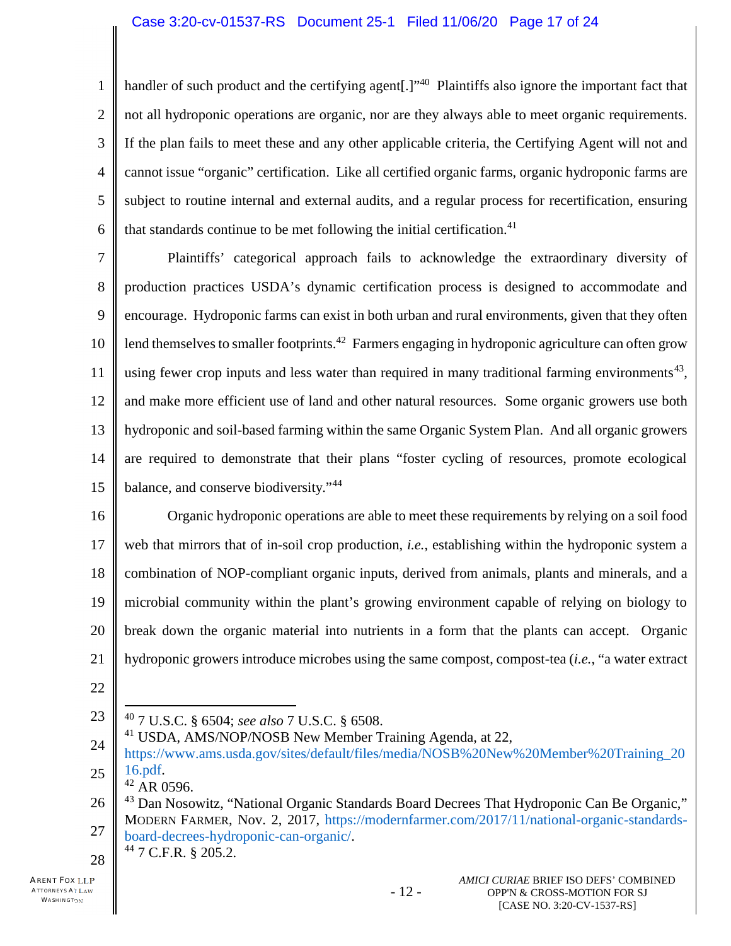1 2 3 4 5 6 handler of such product and the certifying agent<sup>[1,1,40</sup> Plaintiffs also ignore the important fact that not all hydroponic operations are organic, nor are they always able to meet organic requirements. If the plan fails to meet these and any other applicable criteria, the Certifying Agent will not and cannot issue "organic" certification. Like all certified organic farms, organic hydroponic farms are subject to routine internal and external audits, and a regular process for recertification, ensuring that standards continue to be met following the initial certification.<sup>41</sup>

7 8 9 10 11 12 13 14 15 Plaintiffs' categorical approach fails to acknowledge the extraordinary diversity of production practices USDA's dynamic certification process is designed to accommodate and encourage. Hydroponic farms can exist in both urban and rural environments, given that they often lend themselves to smaller footprints.<sup>42</sup> Farmers engaging in hydroponic agriculture can often grow using fewer crop inputs and less water than required in many traditional farming environments<sup>43</sup>, and make more efficient use of land and other natural resources. Some organic growers use both hydroponic and soil-based farming within the same Organic System Plan. And all organic growers are required to demonstrate that their plans "foster cycling of resources, promote ecological balance, and conserve biodiversity."<sup>44</sup>

16 17 18 19 20 21 Organic hydroponic operations are able to meet these requirements by relying on a soil food web that mirrors that of in-soil crop production, *i.e.*, establishing within the hydroponic system a combination of NOP-compliant organic inputs, derived from animals, plants and minerals, and a microbial community within the plant's growing environment capable of relying on biology to break down the organic material into nutrients in a form that the plants can accept. Organic hydroponic growers introduce microbes using the same compost, compost-tea (*i.e.*, "a water extract

- 22
- 23

<sup>40</sup> 7 U.S.C. § 6504; *see also* 7 U.S.C. § 6508.

24 25 <sup>41</sup> USDA, AMS/NOP/NOSB New Member Training Agenda, at 22, https://www.ams.usda.gov/sites/default/files/media/NOSB%20New%20Member%20Training\_20 16.pdf.

 $42$  AR 0596.

<sup>26</sup> 27 <sup>43</sup> Dan Nosowitz, "National Organic Standards Board Decrees That Hydroponic Can Be Organic," MODERN FARMER, Nov. 2, 2017, https://modernfarmer.com/2017/11/national-organic-standardsboard-decrees-hydroponic-can-organic/. <sup>44</sup> 7 C.F.R. § 205.2.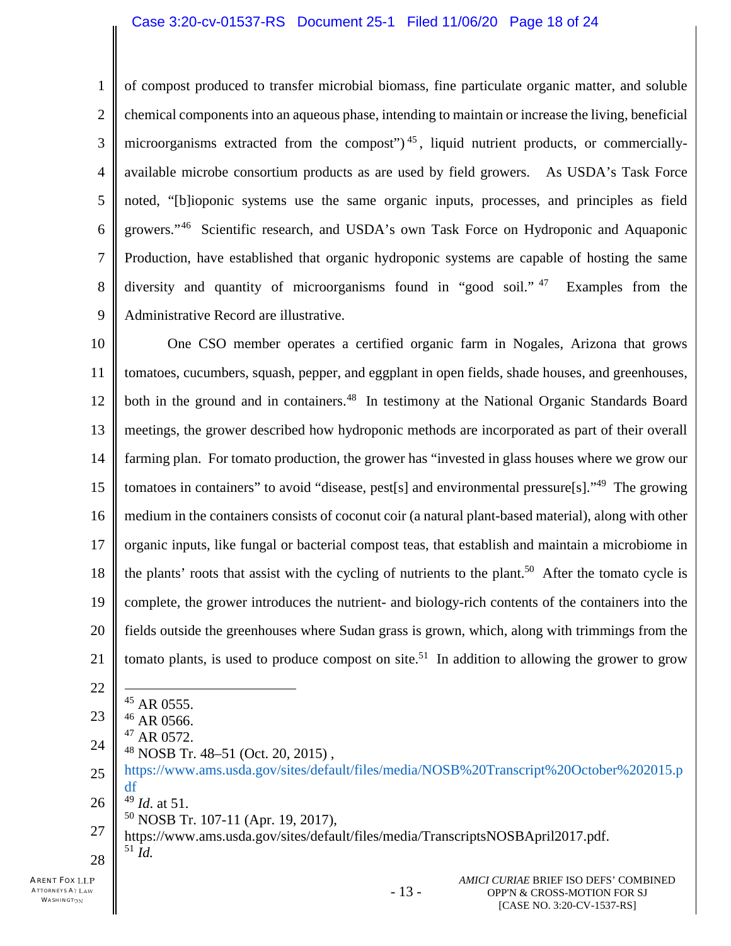#### Case 3:20-cv-01537-RS Document 25-1 Filed 11/06/20 Page 18 of 24

1 2 3 4 5 6 7 8 9 of compost produced to transfer microbial biomass, fine particulate organic matter, and soluble chemical components into an aqueous phase, intending to maintain or increase the living, beneficial microorganisms extracted from the compost")<sup>45</sup>, liquid nutrient products, or commerciallyavailable microbe consortium products as are used by field growers. As USDA's Task Force noted, "[b]ioponic systems use the same organic inputs, processes, and principles as field growers."<sup>46</sup> Scientific research, and USDA's own Task Force on Hydroponic and Aquaponic Production, have established that organic hydroponic systems are capable of hosting the same diversity and quantity of microorganisms found in "good soil."<sup>47</sup> Examples from the Administrative Record are illustrative.

10 11 12 13 14 15 16 17 18 19 20 21 One CSO member operates a certified organic farm in Nogales, Arizona that grows tomatoes, cucumbers, squash, pepper, and eggplant in open fields, shade houses, and greenhouses, both in the ground and in containers.<sup>48</sup> In testimony at the National Organic Standards Board meetings, the grower described how hydroponic methods are incorporated as part of their overall farming plan. For tomato production, the grower has "invested in glass houses where we grow our tomatoes in containers" to avoid "disease, pest[s] and environmental pressure[s]."<sup>49</sup> The growing medium in the containers consists of coconut coir (a natural plant-based material), along with other organic inputs, like fungal or bacterial compost teas, that establish and maintain a microbiome in the plants' roots that assist with the cycling of nutrients to the plant.<sup>50</sup> After the tomato cycle is complete, the grower introduces the nutrient- and biology-rich contents of the containers into the fields outside the greenhouses where Sudan grass is grown, which, along with trimmings from the tomato plants, is used to produce compost on site.<sup>51</sup> In addition to allowing the grower to grow

- 22
- <sup>45</sup> AR 0555.
- 23  $46$  AR 0566.
- 24  $47$  AR 0572.
	- <sup>48</sup> NOSB Tr. 48–51 (Oct. 20, 2015) ,
- 25 https://www.ams.usda.gov/sites/default/files/media/NOSB%20Transcript%20October%202015.p df

- 13 -

- 26 <sup>49</sup> *Id*. at 51.
	- $50$  NOSB Tr. 107-11 (Apr. 19, 2017),
- 27 28 https://www.ams.usda.gov/sites/default/files/media/TranscriptsNOSBApril2017.pdf. <sup>51</sup> *Id.*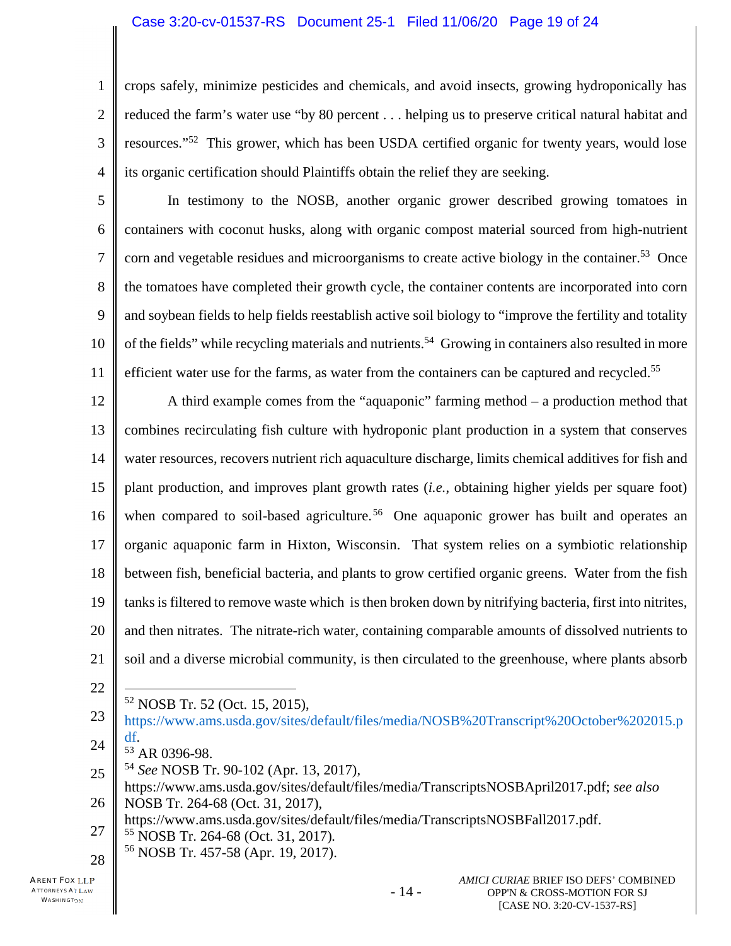#### Case 3:20-cv-01537-RS Document 25-1 Filed 11/06/20 Page 19 of 24

1 2 3 4 crops safely, minimize pesticides and chemicals, and avoid insects, growing hydroponically has reduced the farm's water use "by 80 percent . . . helping us to preserve critical natural habitat and resources."<sup>52</sup> This grower, which has been USDA certified organic for twenty years, would lose its organic certification should Plaintiffs obtain the relief they are seeking.

5 6 7 8 9 10 11 In testimony to the NOSB, another organic grower described growing tomatoes in containers with coconut husks, along with organic compost material sourced from high-nutrient corn and vegetable residues and microorganisms to create active biology in the container.<sup>53</sup> Once the tomatoes have completed their growth cycle, the container contents are incorporated into corn and soybean fields to help fields reestablish active soil biology to "improve the fertility and totality of the fields" while recycling materials and nutrients.<sup>54</sup> Growing in containers also resulted in more efficient water use for the farms, as water from the containers can be captured and recycled.<sup>55</sup>

12 13 14 15 16 17 18 19 20 21 A third example comes from the "aquaponic" farming method – a production method that combines recirculating fish culture with hydroponic plant production in a system that conserves water resources, recovers nutrient rich aquaculture discharge, limits chemical additives for fish and plant production, and improves plant growth rates (*i.e.*, obtaining higher yields per square foot) when compared to soil-based agriculture.<sup>56</sup> One aquaponic grower has built and operates an organic aquaponic farm in Hixton, Wisconsin. That system relies on a symbiotic relationship between fish, beneficial bacteria, and plants to grow certified organic greens. Water from the fish tanks is filtered to remove waste which is then broken down by nitrifying bacteria, first into nitrites, and then nitrates. The nitrate-rich water, containing comparable amounts of dissolved nutrients to soil and a diverse microbial community, is then circulated to the greenhouse, where plants absorb

22

<sup>52</sup> NOSB Tr. 52 (Oct. 15, 2015),

- 25 <sup>54</sup> *See* NOSB Tr. 90-102 (Apr. 13, 2017),
- 26 https://www.ams.usda.gov/sites/default/files/media/TranscriptsNOSBApril2017.pdf; *see also* NOSB Tr. 264-68 (Oct. 31, 2017),

27 https://www.ams.usda.gov/sites/default/files/media/TranscriptsNOSBFall2017.pdf.

<sup>55</sup> NOSB Tr. 264-68 (Oct. 31, 2017)*.* 

28 <sup>56</sup> NOSB Tr. 457-58 (Apr. 19, 2017).

<sup>23</sup> 24 https://www.ams.usda.gov/sites/default/files/media/NOSB%20Transcript%20October%202015.p df.

<sup>53</sup> AR 0396-98.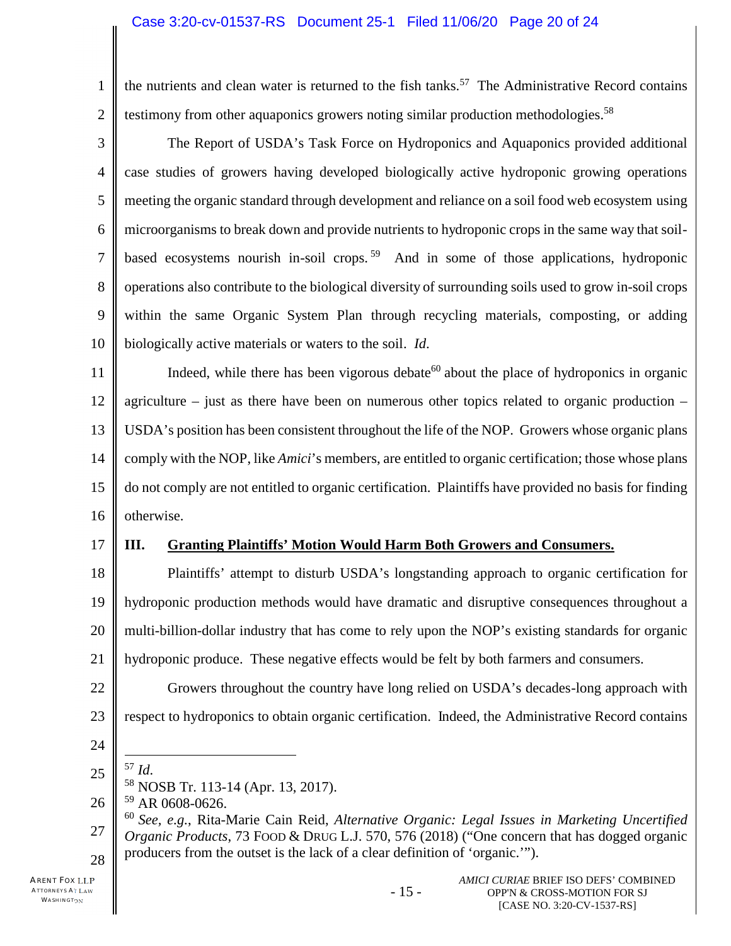1 2 the nutrients and clean water is returned to the fish tanks.<sup>57</sup> The Administrative Record contains testimony from other aquaponics growers noting similar production methodologies.<sup>58</sup>

3 4 5 6 7 8 9 10 The Report of USDA's Task Force on Hydroponics and Aquaponics provided additional case studies of growers having developed biologically active hydroponic growing operations meeting the organic standard through development and reliance on a soil food web ecosystem using microorganisms to break down and provide nutrients to hydroponic crops in the same way that soilbased ecosystems nourish in-soil crops.<sup>59</sup> And in some of those applications, hydroponic operations also contribute to the biological diversity of surrounding soils used to grow in-soil crops within the same Organic System Plan through recycling materials, composting, or adding biologically active materials or waters to the soil. *Id*.

11 12 13 14 15 16 Indeed, while there has been vigorous debate<sup>60</sup> about the place of hydroponics in organic agriculture – just as there have been on numerous other topics related to organic production – USDA's position has been consistent throughout the life of the NOP. Growers whose organic plans comply with the NOP, like *Amici*'s members, are entitled to organic certification; those whose plans do not comply are not entitled to organic certification. Plaintiffs have provided no basis for finding otherwise.

17

## **III. Granting Plaintiffs' Motion Would Harm Both Growers and Consumers.**

18 19 20 21 Plaintiffs' attempt to disturb USDA's longstanding approach to organic certification for hydroponic production methods would have dramatic and disruptive consequences throughout a multi-billion-dollar industry that has come to rely upon the NOP's existing standards for organic hydroponic produce. These negative effects would be felt by both farmers and consumers.

- 22 23 Growers throughout the country have long relied on USDA's decades-long approach with respect to hydroponics to obtain organic certification. Indeed, the Administrative Record contains
- 24
- 25 <sup>57</sup> *Id*.
	- <sup>58</sup> NOSB Tr. 113-14 (Apr. 13, 2017).
- 26 <sup>59</sup> AR 0608-0626.

27 28 <sup>60</sup> *See, e.g.*, Rita-Marie Cain Reid, *Alternative Organic: Legal Issues in Marketing Uncertified Organic Products*, 73 FOOD & DRUG L.J. 570, 576 (2018) ("One concern that has dogged organic producers from the outset is the lack of a clear definition of 'organic.'").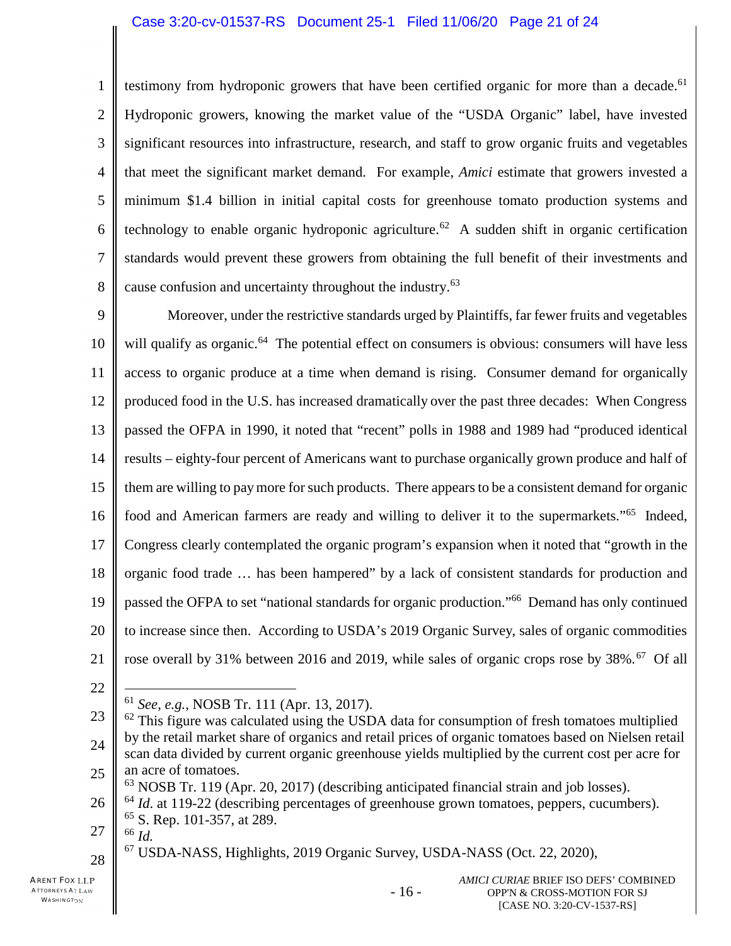#### Case 3:20-cv-01537-RS Document 25-1 Filed 11/06/20 Page 21 of 24

2 3 4 5 6 7 8 testimony from hydroponic growers that have been certified organic for more than a decade.<sup>61</sup> Hydroponic growers, knowing the market value of the "USDA Organic" label, have invested significant resources into infrastructure, research, and staff to grow organic fruits and vegetables that meet the significant market demand. For example, *Amici* estimate that growers invested a minimum \$1.4 billion in initial capital costs for greenhouse tomato production systems and technology to enable organic hydroponic agriculture.<sup>62</sup> A sudden shift in organic certification standards would prevent these growers from obtaining the full benefit of their investments and cause confusion and uncertainty throughout the industry.<sup>63</sup>

9 10 11 12 13 14 15 16 17 18 19 20 21 Moreover, under the restrictive standards urged by Plaintiffs, far fewer fruits and vegetables will qualify as organic.<sup>64</sup> The potential effect on consumers is obvious: consumers will have less access to organic produce at a time when demand is rising. Consumer demand for organically produced food in the U.S. has increased dramatically over the past three decades: When Congress passed the OFPA in 1990, it noted that "recent" polls in 1988 and 1989 had "produced identical results – eighty-four percent of Americans want to purchase organically grown produce and half of them are willing to paymore for such products. There appears to be a consistent demand for organic food and American farmers are ready and willing to deliver it to the supermarkets."<sup>65</sup> Indeed, Congress clearly contemplated the organic program's expansion when it noted that "growth in the organic food trade … has been hampered" by a lack of consistent standards for production and passed the OFPA to set "national standards for organic production."<sup>66</sup> Demand has only continued to increase since then. According to USDA's 2019 Organic Survey, sales of organic commodities rose overall by 31% between 2016 and 2019, while sales of organic crops rose by  $38\%$ .<sup>67</sup> Of all

22

1

 $^{63}$  NOSB Tr. 119 (Apr. 20, 2017) (describing anticipated financial strain and job losses).

- 16 -

<sup>61</sup> *See, e.g.*, NOSB Tr. 111 (Apr. 13, 2017).

<sup>23</sup> 24 25  $62$  This figure was calculated using the USDA data for consumption of fresh tomatoes multiplied by the retail market share of organics and retail prices of organic tomatoes based on Nielsen retail scan data divided by current organic greenhouse yields multiplied by the current cost per acre for an acre of tomatoes.

<sup>26</sup> <sup>64</sup> *Id.* at 119-22 (describing percentages of greenhouse grown tomatoes, peppers, cucumbers).  $65$  S. Rep. 101-357, at 289.

<sup>27</sup> <sup>66</sup> *Id.*

<sup>67</sup> USDA-NASS, Highlights, 2019 Organic Survey, USDA-NASS (Oct. 22, 2020),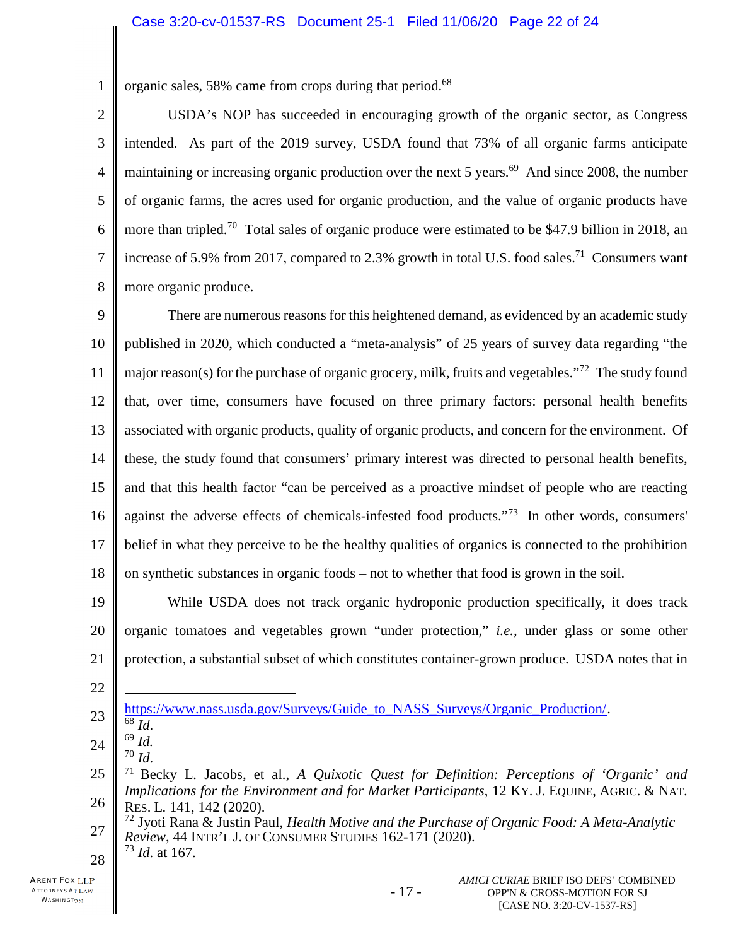1 organic sales, 58% came from crops during that period.<sup>68</sup>

2 3 4 5 6 7 8 USDA's NOP has succeeded in encouraging growth of the organic sector, as Congress intended. As part of the 2019 survey, USDA found that 73% of all organic farms anticipate maintaining or increasing organic production over the next 5 years.<sup>69</sup> And since 2008, the number of organic farms, the acres used for organic production, and the value of organic products have more than tripled.<sup>70</sup> Total sales of organic produce were estimated to be \$47.9 billion in 2018, an increase of 5.9% from 2017, compared to 2.3% growth in total U.S. food sales.<sup>71</sup> Consumers want more organic produce.

9 10 11 12 13 14 15 16 17 18 There are numerous reasons for this heightened demand, as evidenced by an academic study published in 2020, which conducted a "meta-analysis" of 25 years of survey data regarding "the major reason(s) for the purchase of organic grocery, milk, fruits and vegetables.<sup>"72</sup> The study found that, over time, consumers have focused on three primary factors: personal health benefits associated with organic products, quality of organic products, and concern for the environment. Of these, the study found that consumers' primary interest was directed to personal health benefits, and that this health factor "can be perceived as a proactive mindset of people who are reacting against the adverse effects of chemicals-infested food products."<sup>73</sup> In other words, consumers' belief in what they perceive to be the healthy qualities of organics is connected to the prohibition on synthetic substances in organic foods – not to whether that food is grown in the soil.

19 20 21 While USDA does not track organic hydroponic production specifically, it does track organic tomatoes and vegetables grown "under protection," *i.e.*, under glass or some other protection, a substantial subset of which constitutes container-grown produce. USDA notes that in

22

<sup>70</sup> *Id*.

<sup>23</sup> https://www.nass.usda.gov/Surveys/Guide\_to\_NASS\_Surveys/Organic\_Production/.

<sup>68</sup> *Id*. <sup>69</sup> *Id.* 

<sup>24</sup>

<sup>25</sup> 26 <sup>71</sup> Becky L. Jacobs, et al., *A Quixotic Quest for Definition: Perceptions of 'Organic' and Implications for the Environment and for Market Participants*, 12 KY. J. EQUINE, AGRIC. & NAT. RES. L. 141, 142 (2020).

<sup>27</sup> <sup>72</sup> Jyoti Rana & Justin Paul, *Health Motive and the Purchase of Organic Food: A Meta-Analytic Review*, 44 INTR'L J. OF CONSUMER STUDIES 162-171 (2020). <sup>73</sup> *Id*. at 167.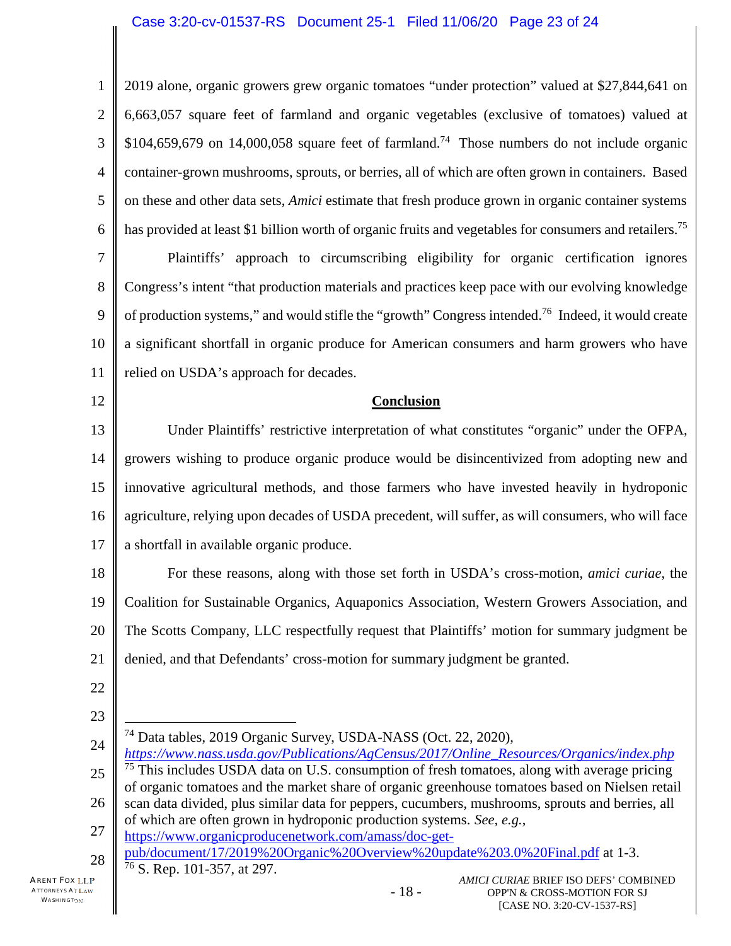1 2 3 4 5 6 2019 alone, organic growers grew organic tomatoes "under protection" valued at \$27,844,641 on 6,663,057 square feet of farmland and organic vegetables (exclusive of tomatoes) valued at  $$104,659,679$  on 14,000,058 square feet of farmland.<sup>74</sup> Those numbers do not include organic container-grown mushrooms, sprouts, or berries, all of which are often grown in containers. Based on these and other data sets, *Amici* estimate that fresh produce grown in organic container systems has provided at least \$1 billion worth of organic fruits and vegetables for consumers and retailers.<sup>75</sup>

7 8 9 10 11 Plaintiffs' approach to circumscribing eligibility for organic certification ignores Congress's intent "that production materials and practices keep pace with our evolving knowledge of production systems," and would stifle the "growth" Congress intended.<sup>76</sup> Indeed, it would create a significant shortfall in organic produce for American consumers and harm growers who have relied on USDA's approach for decades.

12

### **Conclusion**

13 14 15 16 17 Under Plaintiffs' restrictive interpretation of what constitutes "organic" under the OFPA, growers wishing to produce organic produce would be disincentivized from adopting new and innovative agricultural methods, and those farmers who have invested heavily in hydroponic agriculture, relying upon decades of USDA precedent, will suffer, as will consumers, who will face a shortfall in available organic produce.

18 19 20 21 For these reasons, along with those set forth in USDA's cross-motion, *amici curiae*, the Coalition for Sustainable Organics, Aquaponics Association, Western Growers Association, and The Scotts Company, LLC respectfully request that Plaintiffs' motion for summary judgment be denied, and that Defendants' cross-motion for summary judgment be granted.

- 22
- 23

24 25 26 27 28 <sup>74</sup> Data tables, 2019 Organic Survey, USDA-NASS (Oct. 22, 2020), *https://www.nass.usda.gov/Publications/AgCensus/2017/Online\_Resources/Organics/index.php*  $75$  This includes USDA data on U.S. consumption of fresh tomatoes, along with average pricing of organic tomatoes and the market share of organic greenhouse tomatoes based on Nielsen retail scan data divided, plus similar data for peppers, cucumbers, mushrooms, sprouts and berries, all of which are often grown in hydroponic production systems. *See, e.g.*, https://www.organicproducenetwork.com/amass/doc-getpub/document/17/2019%20Organic%20Overview%20update%203.0%20Final.pdf at 1-3.  $76$  S. Rep. 101-357, at 297.

- 18 -